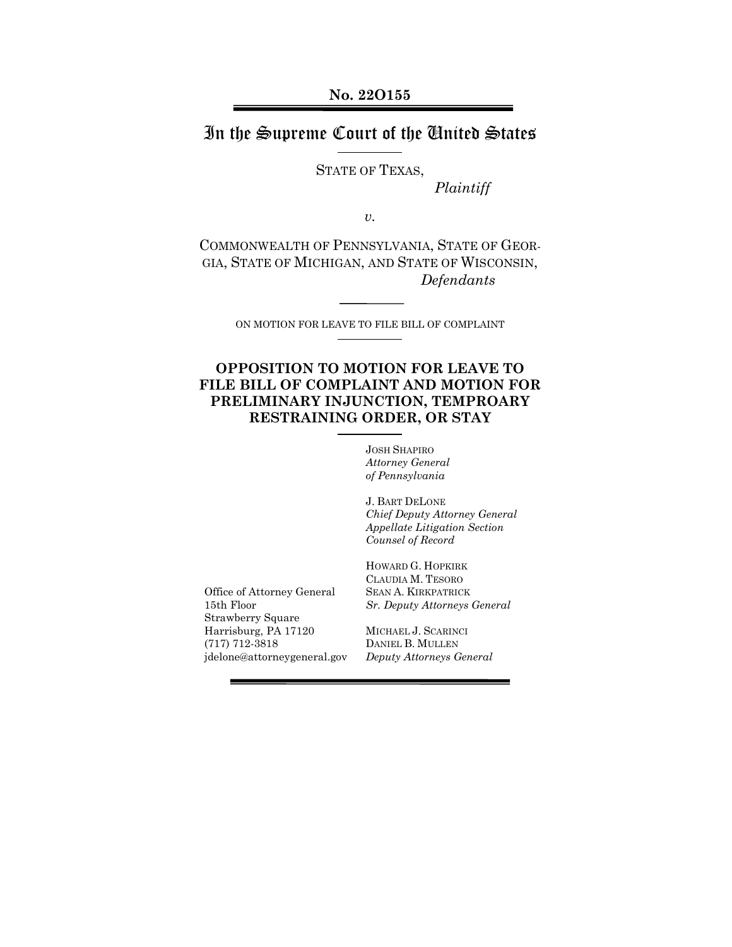## In the Supreme Court of the United States

STATE OF TEXAS,

*Plaintiff*

*v.*

COMMONWEALTH OF PENNSYLVANIA, STATE OF GEOR-GIA, STATE OF MICHIGAN, AND STATE OF WISCONSIN, *Defendants*

ON MOTION FOR LEAVE TO FILE BILL OF COMPLAINT

### **OPPOSITION TO MOTION FOR LEAVE TO FILE BILL OF COMPLAINT AND MOTION FOR PRELIMINARY INJUNCTION, TEMPROARY RESTRAINING ORDER, OR STAY**

JOSH SHAPIRO *Attorney General of Pennsylvania*

J. BART DELONE *Chief Deputy Attorney General Appellate Litigation Section Counsel of Record*

Office of Attorney General 15th Floor Strawberry Square Harrisburg, PA 17120 (717) 712-3818 jdelone@attorneygeneral.gov

HOWARD G. HOPKIRK CLAUDIA M. TESORO SEAN A. KIRKPATRICK *Sr. Deputy Attorneys General*

MICHAEL J. SCARINCI DANIEL B. MULLEN *Deputy Attorneys General*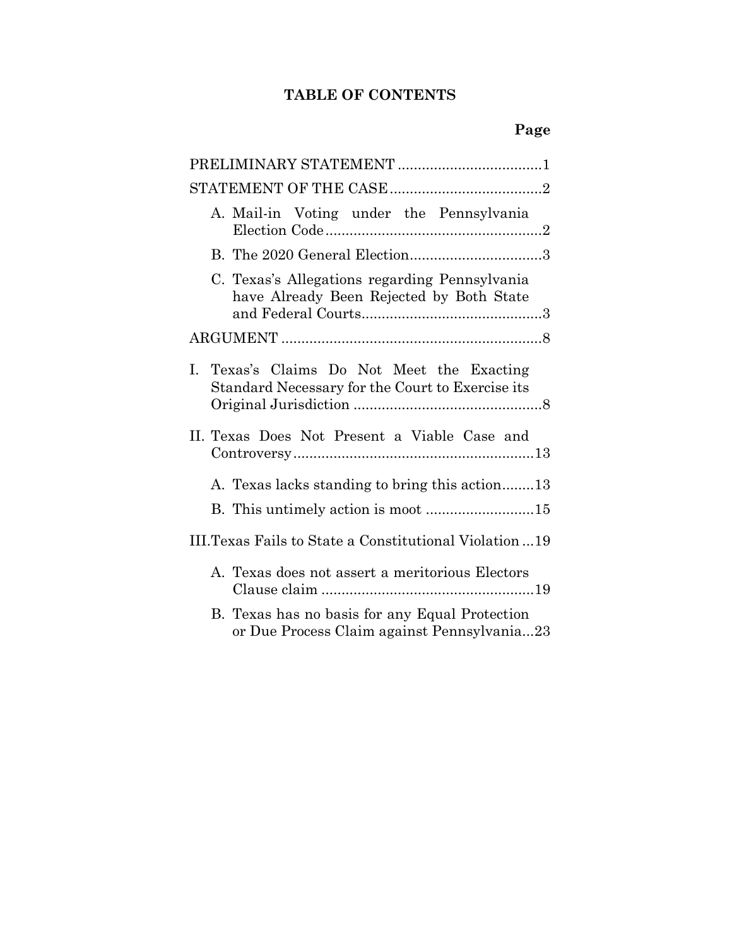## **TABLE OF CONTENTS**

| A. Mail-in Voting under the Pennsylvania                                                          |
|---------------------------------------------------------------------------------------------------|
|                                                                                                   |
| C. Texas's Allegations regarding Pennsylvania<br>have Already Been Rejected by Both State         |
|                                                                                                   |
| Texas's Claims Do Not Meet the Exacting<br>L.<br>Standard Necessary for the Court to Exercise its |
| II. Texas Does Not Present a Viable Case and                                                      |
| A. Texas lacks standing to bring this action13                                                    |
|                                                                                                   |
| III. Texas Fails to State a Constitutional Violation  19                                          |
| A. Texas does not assert a meritorious Electors                                                   |
| B. Texas has no basis for any Equal Protection<br>or Due Process Claim against Pennsylvania23     |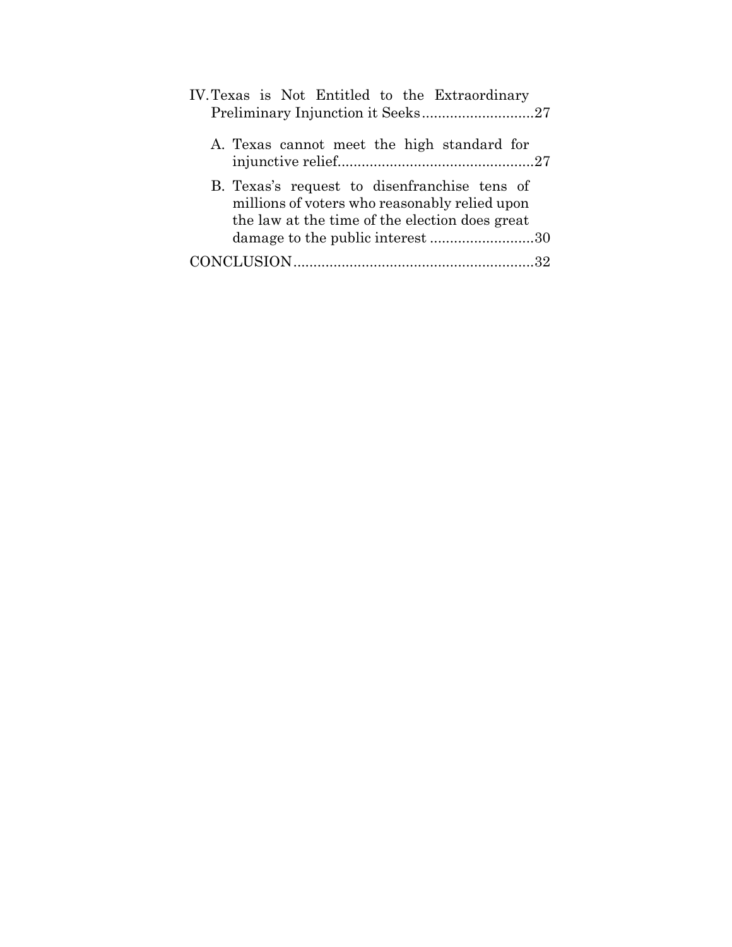| IV. Texas is Not Entitled to the Extraordinary                                                                                                  |
|-------------------------------------------------------------------------------------------------------------------------------------------------|
|                                                                                                                                                 |
| A. Texas cannot meet the high standard for                                                                                                      |
| B. Texas's request to disenfranchise tens of<br>millions of voters who reasonably relied upon<br>the law at the time of the election does great |
| damage to the public interest 30                                                                                                                |
|                                                                                                                                                 |
|                                                                                                                                                 |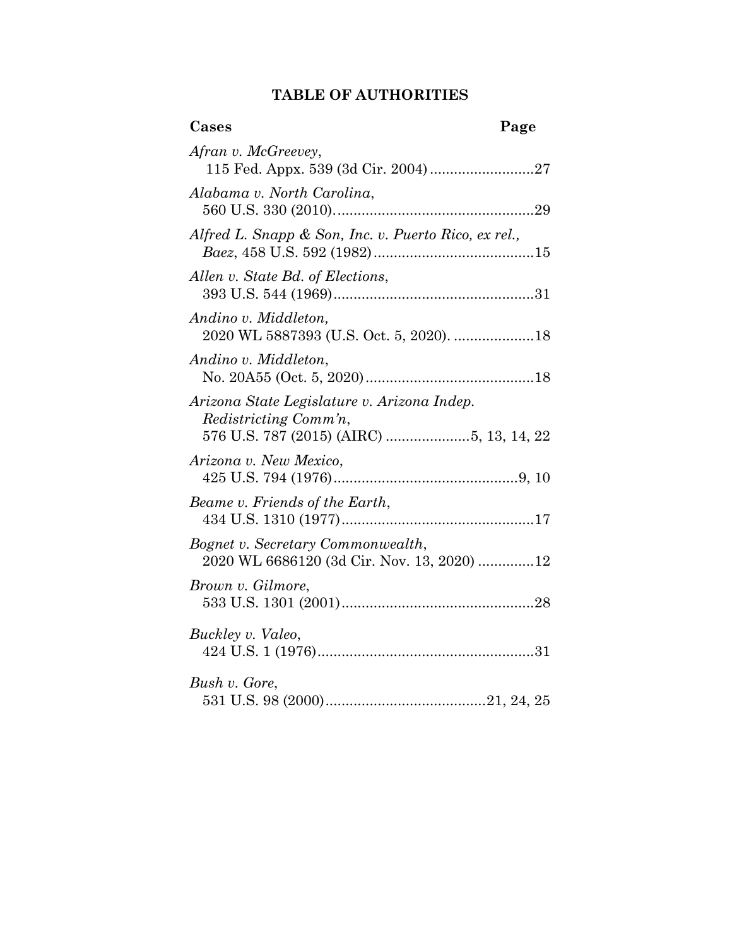## **TABLE OF AUTHORITIES**

| Cases                                                                           | Page |
|---------------------------------------------------------------------------------|------|
| Afran v. McGreevey,                                                             |      |
| Alabama v. North Carolina,                                                      |      |
| Alfred L. Snapp & Son, Inc. v. Puerto Rico, ex rel.,                            |      |
| Allen v. State Bd. of Elections,                                                |      |
| Andino v. Middleton,<br>2020 WL 5887393 (U.S. Oct. 5, 2020). 18                 |      |
| Andino v. Middleton,                                                            |      |
| Arizona State Legislature v. Arizona Indep.<br>Redistricting Comm'n,            |      |
| Arizona v. New Mexico,                                                          |      |
| Beame v. Friends of the Earth,                                                  |      |
| Bognet v. Secretary Commonwealth,<br>2020 WL 6686120 (3d Cir. Nov. 13, 2020) 12 |      |
| Brown v. Gilmore,                                                               |      |
| Buckley v. Valeo,                                                               |      |
| Bush v. Gore,                                                                   |      |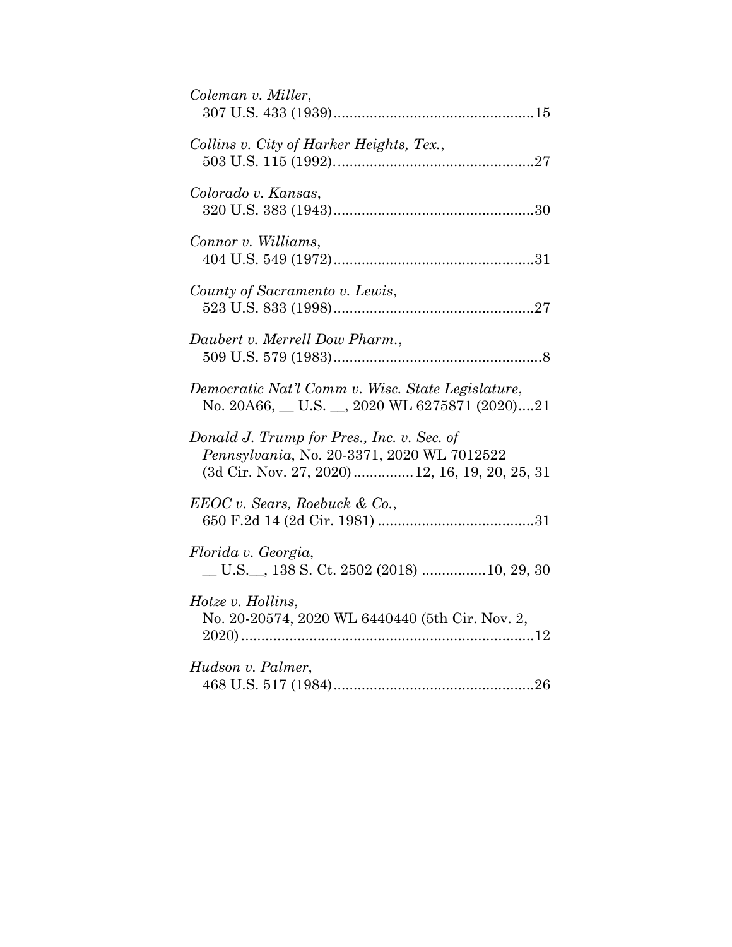| Coleman v. Miller,                                                                                                                          |
|---------------------------------------------------------------------------------------------------------------------------------------------|
| Collins v. City of Harker Heights, Tex.,                                                                                                    |
| Colorado v. Kansas,                                                                                                                         |
| Connor v. Williams,                                                                                                                         |
| County of Sacramento v. Lewis,                                                                                                              |
| Daubert v. Merrell Dow Pharm.,                                                                                                              |
| Democratic Nat'l Comm v. Wisc. State Legislature,<br>No. 20A66, U.S. , 2020 WL 6275871 (2020)21                                             |
| Donald J. Trump for Pres., Inc. v. Sec. of<br>Pennsylvania, No. 20-3371, 2020 WL 7012522<br>(3d Cir. Nov. 27, 2020)  12, 16, 19, 20, 25, 31 |
| EEOC v. Sears, Roebuck & Co.,                                                                                                               |
| Florida v. Georgia,<br>U.S. __, 138 S. Ct. 2502 (2018) 10, 29, 30                                                                           |
| Hotze v. Hollins,<br>No. 20-20574, 2020 WL 6440440 (5th Cir. Nov. 2,                                                                        |
| Hudson v. Palmer,                                                                                                                           |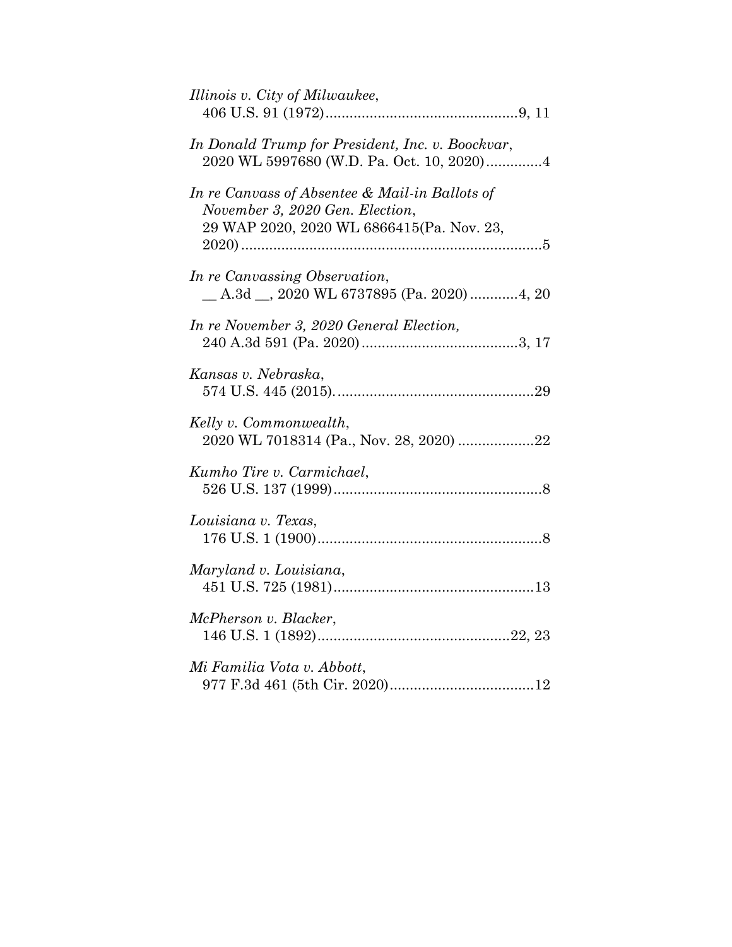| Illinois v. City of Milwaukee,                                                                                                 |
|--------------------------------------------------------------------------------------------------------------------------------|
| In Donald Trump for President, Inc. v. Boockvar,<br>2020 WL 5997680 (W.D. Pa. Oct. 10, 2020)4                                  |
| In re Canvass of Absentee & Mail-in Ballots of<br>November 3, 2020 Gen. Election,<br>29 WAP 2020, 2020 WL 6866415(Pa. Nov. 23, |
| In re Canvassing Observation,<br>$A.3d$ , 2020 WL 6737895 (Pa. 2020) 4, 20                                                     |
| In re November 3, 2020 General Election,                                                                                       |
| Kansas v. Nebraska,                                                                                                            |
| Kelly v. Commonwealth,<br>2020 WL 7018314 (Pa., Nov. 28, 2020) 22                                                              |
| Kumho Tire v. Carmichael,                                                                                                      |
| Louisiana v. Texas,                                                                                                            |
| Maryland v. Louisiana,                                                                                                         |
| McPherson v. Blacker,                                                                                                          |
| Mi Familia Vota v. Abbott,                                                                                                     |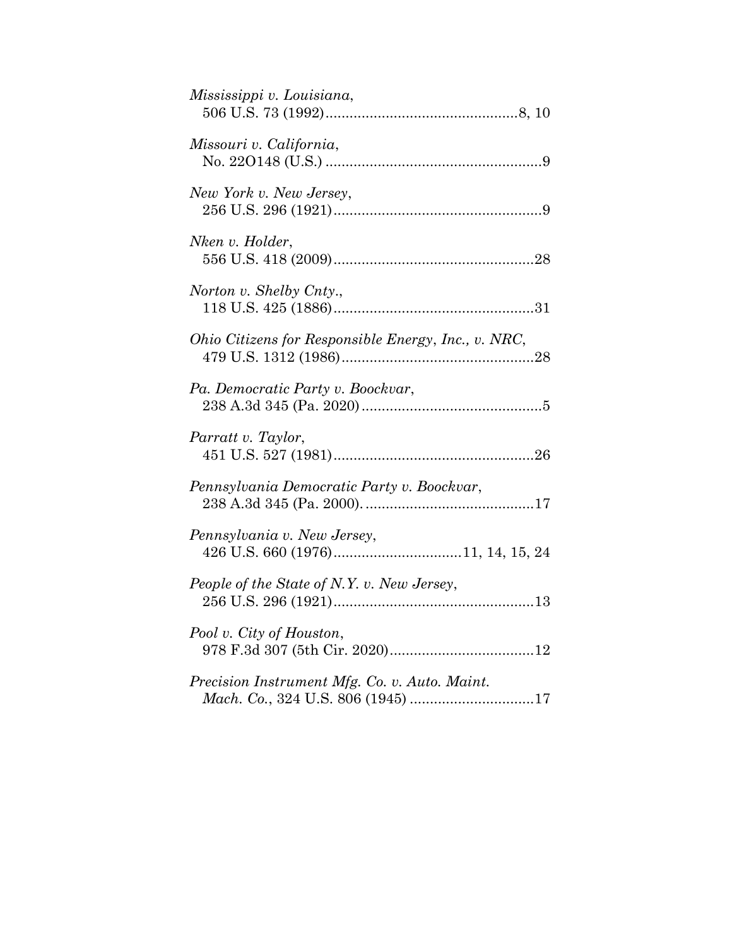| Mississippi v. Louisiana,                           |
|-----------------------------------------------------|
| Missouri v. California,                             |
| New York v. New Jersey,                             |
| Nken v. Holder,                                     |
| Norton v. Shelby Cnty.,                             |
| Ohio Citizens for Responsible Energy, Inc., v. NRC, |
| Pa. Democratic Party v. Boockvar,                   |
| Parratt v. Taylor,                                  |
| Pennsylvania Democratic Party v. Boockvar,          |
| Pennsylvania v. New Jersey,                         |
| People of the State of N.Y. v. New Jersey,          |
| Pool v. City of Houston,                            |
| Precision Instrument Mfg. Co. v. Auto. Maint.       |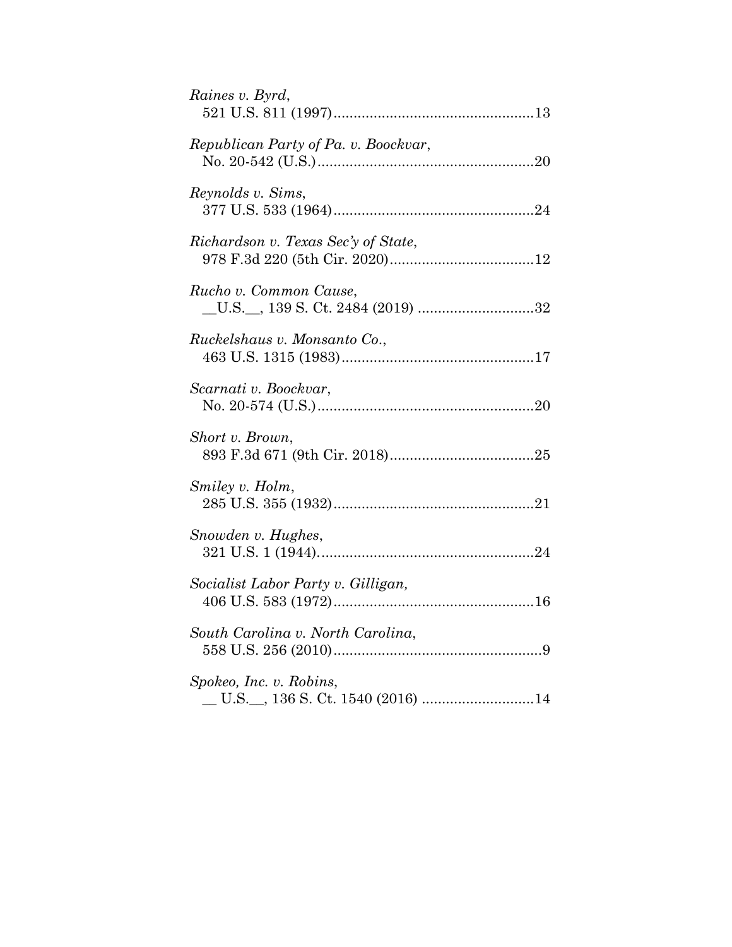| Raines v. Byrd,                      |
|--------------------------------------|
| Republican Party of Pa. v. Boockvar, |
| Reynolds v. Sims,                    |
| Richardson v. Texas Sec'y of State,  |
| Rucho v. Common Cause,               |
| Ruckelshaus v. Monsanto Co.,         |
| Scarnati v. Boockvar,                |
| Short v. Brown,                      |
| Smiley v. Holm,                      |
| Snowden v. Hughes,                   |
| Socialist Labor Party v. Gilligan,   |
| South Carolina v. North Carolina,    |
| Spokeo, Inc. v. Robins,              |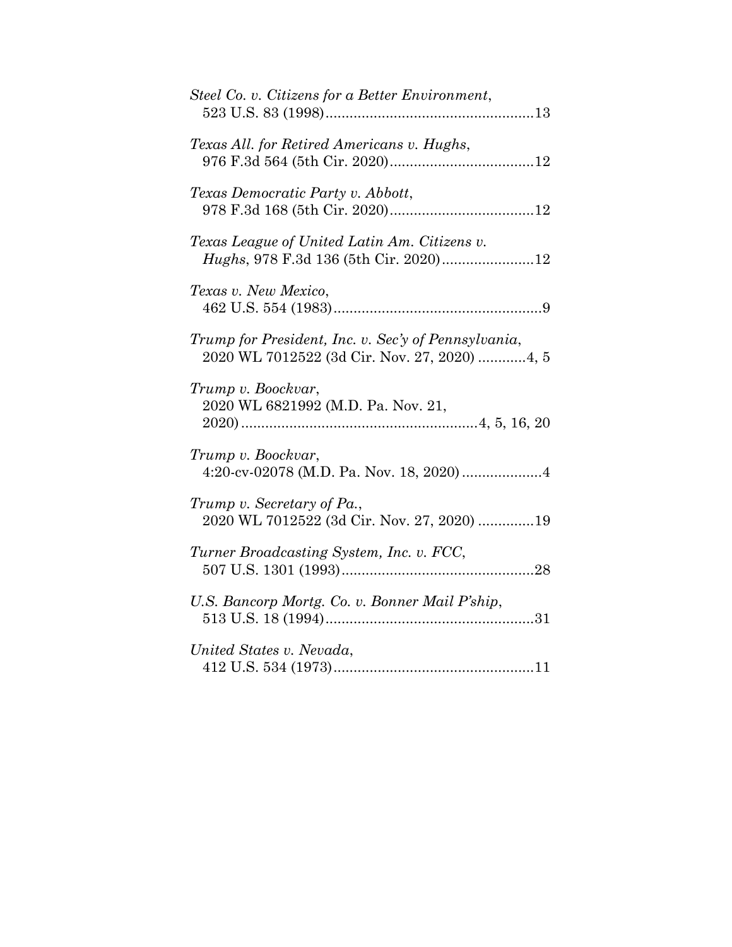| Steel Co. v. Citizens for a Better Environment,                                                     |
|-----------------------------------------------------------------------------------------------------|
| Texas All. for Retired Americans v. Hughs,                                                          |
| Texas Democratic Party v. Abbott,                                                                   |
| Texas League of United Latin Am. Citizens v.<br>Hughs, 978 F.3d 136 (5th Cir. 2020)12               |
| Texas v. New Mexico,                                                                                |
| Trump for President, Inc. v. Sec'y of Pennsylvania,<br>2020 WL 7012522 (3d Cir. Nov. 27, 2020) 4, 5 |
| Trump v. Boockvar,<br>2020 WL 6821992 (M.D. Pa. Nov. 21,                                            |
| Trump v. Boockvar,                                                                                  |
| Trump v. Secretary of Pa.,<br>2020 WL 7012522 (3d Cir. Nov. 27, 2020) 19                            |
| Turner Broadcasting System, Inc. v. FCC,                                                            |
| U.S. Bancorp Mortg. Co. v. Bonner Mail P'ship,                                                      |
| United States v. Nevada,                                                                            |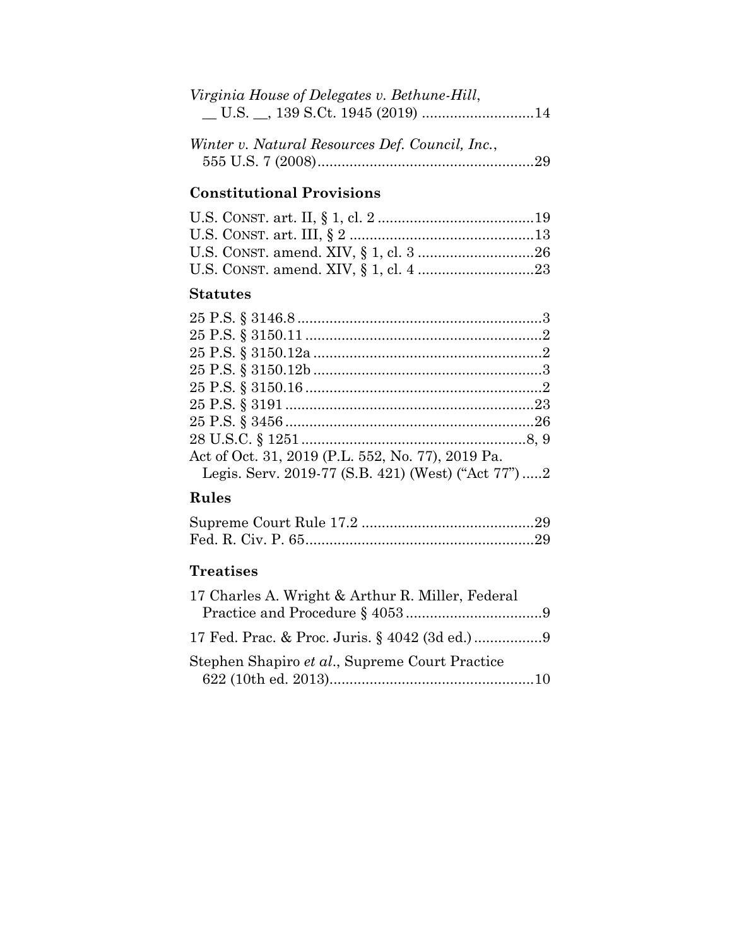|  | Virginia House of Delegates v. Bethune-Hill, |  |
|--|----------------------------------------------|--|
|  |                                              |  |

| Winter v. Natural Resources Def. Council, Inc., |  |
|-------------------------------------------------|--|
|                                                 |  |

# **Constitutional Provisions**

## **Statutes**

| Act of Oct. 31, 2019 (P.L. 552, No. 77), 2019 Pa.  |  |
|----------------------------------------------------|--|
| Legis. Serv. 2019-77 (S.B. 421) (West) ("Act 77")2 |  |

# **Rules**

## **Treatises**

| 17 Charles A. Wright & Arthur R. Miller, Federal |  |
|--------------------------------------------------|--|
|                                                  |  |
|                                                  |  |
| Stephen Shapiro et al., Supreme Court Practice   |  |
|                                                  |  |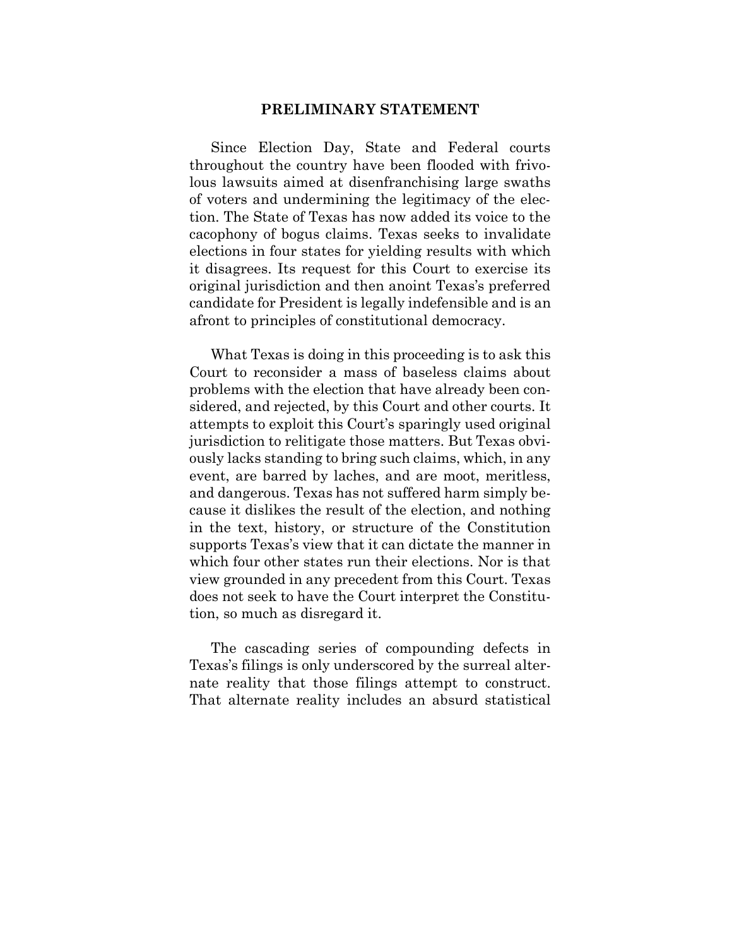#### **PRELIMINARY STATEMENT**

<span id="page-10-0"></span>Since Election Day, State and Federal courts throughout the country have been flooded with frivolous lawsuits aimed at disenfranchising large swaths of voters and undermining the legitimacy of the election. The State of Texas has now added its voice to the cacophony of bogus claims. Texas seeks to invalidate elections in four states for yielding results with which it disagrees. Its request for this Court to exercise its original jurisdiction and then anoint Texas's preferred candidate for President is legally indefensible and is an afront to principles of constitutional democracy.

What Texas is doing in this proceeding is to ask this Court to reconsider a mass of baseless claims about problems with the election that have already been considered, and rejected, by this Court and other courts. It attempts to exploit this Court's sparingly used original jurisdiction to relitigate those matters. But Texas obviously lacks standing to bring such claims, which, in any event, are barred by laches, and are moot, meritless, and dangerous. Texas has not suffered harm simply because it dislikes the result of the election, and nothing in the text, history, or structure of the Constitution supports Texas's view that it can dictate the manner in which four other states run their elections. Nor is that view grounded in any precedent from this Court. Texas does not seek to have the Court interpret the Constitution, so much as disregard it.

The cascading series of compounding defects in Texas's filings is only underscored by the surreal alternate reality that those filings attempt to construct. That alternate reality includes an absurd statistical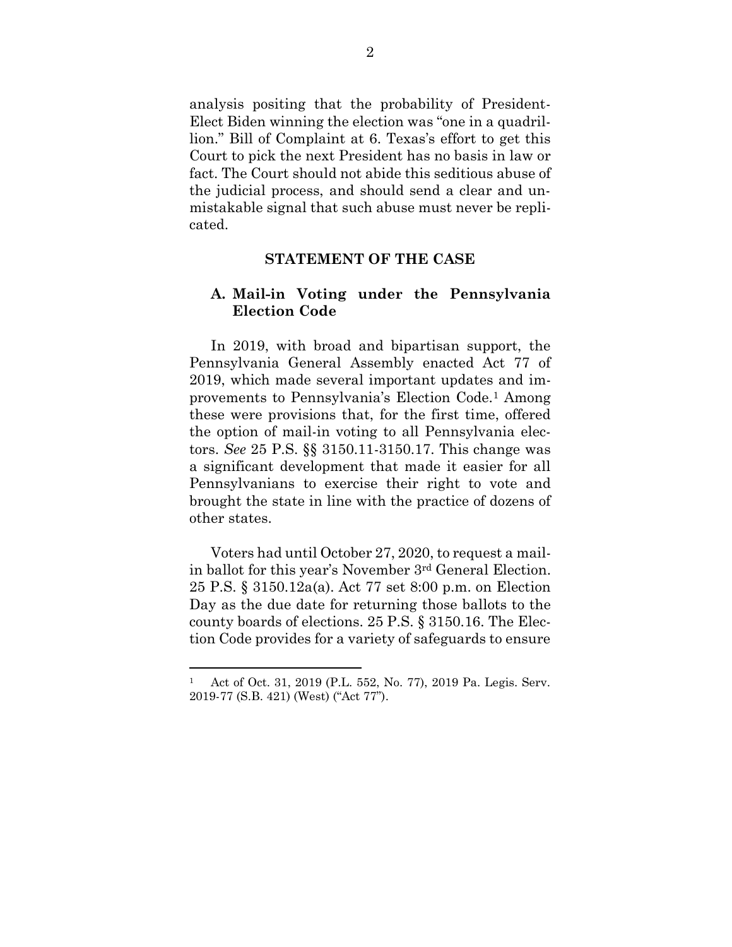analysis positing that the probability of President-Elect Biden winning the election was "one in a quadrillion." Bill of Complaint at 6. Texas's effort to get this Court to pick the next President has no basis in law or fact. The Court should not abide this seditious abuse of the judicial process, and should send a clear and unmistakable signal that such abuse must never be replicated.

#### **STATEMENT OF THE CASE**

#### <span id="page-11-1"></span><span id="page-11-0"></span>**A. Mail-in Voting under the Pennsylvania Election Code**

In 2019, with broad and bipartisan support, the Pennsylvania General Assembly enacted Act 77 of 2019, which made several important updates and improvements to Pennsylvania's Election Code.<sup>1</sup> Among these were provisions that, for the first time, offered the option of mail-in voting to all Pennsylvania electors. *See* 25 P.S. §§ 3150.11-3150.17. This change was a significant development that made it easier for all Pennsylvanians to exercise their right to vote and brought the state in line with the practice of dozens of other states.

Voters had until October 27, 2020, to request a mailin ballot for this year's November 3rd General Election. 25 P.S. § 3150.12a(a). Act 77 set 8:00 p.m. on Election Day as the due date for returning those ballots to the county boards of elections. 25 P.S. § 3150.16. The Election Code provides for a variety of safeguards to ensure

<sup>1</sup> Act of Oct. 31, 2019 (P.L. 552, No. 77), 2019 Pa. Legis. Serv. 2019-77 (S.B. 421) (West) ("Act 77").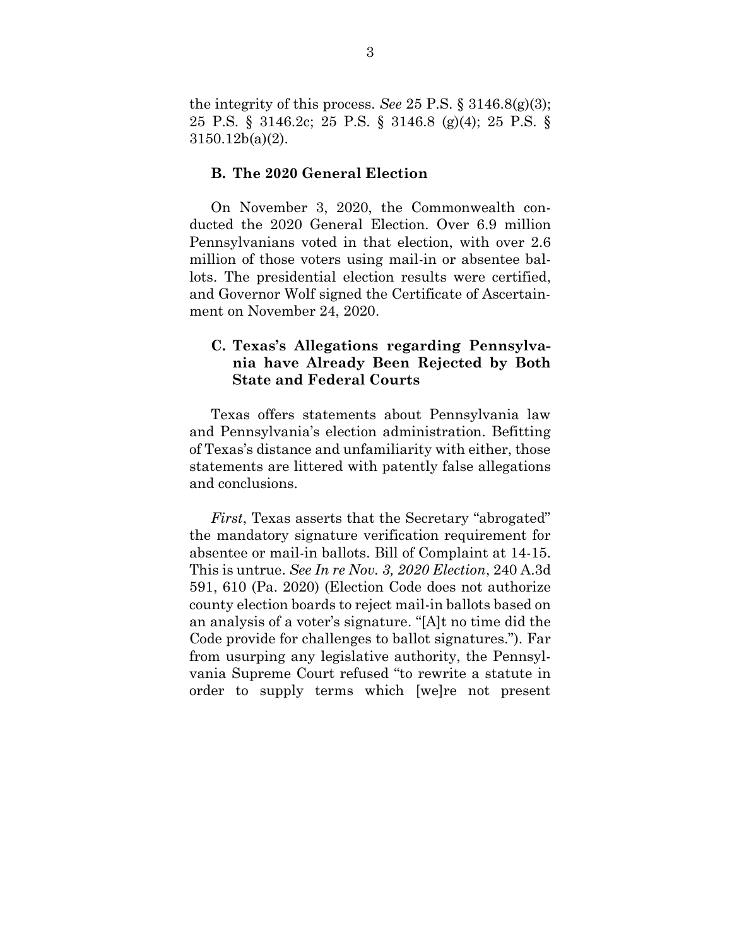the integrity of this process. *See* 25 P.S. § 3146.8(g)(3); 25 P.S. § 3146.2c; 25 P.S. § 3146.8 (g)(4); 25 P.S. § 3150.12b(a)(2).

#### <span id="page-12-0"></span>**B. The 2020 General Election**

On November 3, 2020, the Commonwealth conducted the 2020 General Election. Over 6.9 million Pennsylvanians voted in that election, with over 2.6 million of those voters using mail-in or absentee ballots. The presidential election results were certified, and Governor Wolf signed the Certificate of Ascertainment on November 24, 2020.

## <span id="page-12-1"></span>**C. Texas's Allegations regarding Pennsylvania have Already Been Rejected by Both State and Federal Courts**

Texas offers statements about Pennsylvania law and Pennsylvania's election administration. Befitting of Texas's distance and unfamiliarity with either, those statements are littered with patently false allegations and conclusions.

*First*, Texas asserts that the Secretary "abrogated" the mandatory signature verification requirement for absentee or mail-in ballots. Bill of Complaint at 14-15. This is untrue. *See In re Nov. 3, 2020 Election*, 240 A.3d 591, 610 (Pa. 2020) (Election Code does not authorize county election boards to reject mail-in ballots based on an analysis of a voter's signature. "[A]t no time did the Code provide for challenges to ballot signatures."). Far from usurping any legislative authority, the Pennsylvania Supreme Court refused "to rewrite a statute in order to supply terms which [we]re not present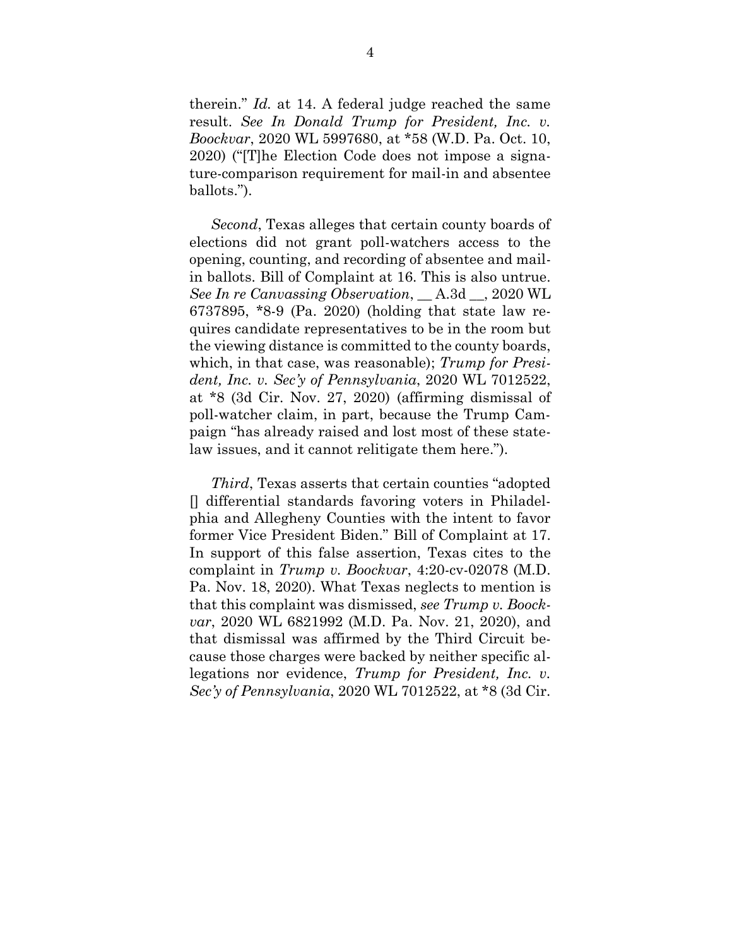therein." *Id.* at 14. A federal judge reached the same result. *See In Donald Trump for President, Inc. v. Boockvar*, 2020 WL 5997680, at \*58 (W.D. Pa. Oct. 10, 2020) ("[T]he Election Code does not impose a signature-comparison requirement for mail-in and absentee ballots.").

*Second*, Texas alleges that certain county boards of elections did not grant poll-watchers access to the opening, counting, and recording of absentee and mailin ballots. Bill of Complaint at 16. This is also untrue. *See In re Canvassing Observation*, \_\_ A.3d \_\_, 2020 WL 6737895, \*8-9 (Pa. 2020) (holding that state law requires candidate representatives to be in the room but the viewing distance is committed to the county boards, which, in that case, was reasonable); *Trump for President, Inc. v. Sec'y of Pennsylvania*, 2020 WL 7012522, at \*8 (3d Cir. Nov. 27, 2020) (affirming dismissal of poll-watcher claim, in part, because the Trump Campaign "has already raised and lost most of these statelaw issues, and it cannot relitigate them here.").

*Third*, Texas asserts that certain counties "adopted [] differential standards favoring voters in Philadelphia and Allegheny Counties with the intent to favor former Vice President Biden." Bill of Complaint at 17. In support of this false assertion, Texas cites to the complaint in *Trump v. Boockvar*, 4:20-cv-02078 (M.D. Pa. Nov. 18, 2020). What Texas neglects to mention is that this complaint was dismissed, *see Trump v. Boockvar*, 2020 WL 6821992 (M.D. Pa. Nov. 21, 2020), and that dismissal was affirmed by the Third Circuit because those charges were backed by neither specific allegations nor evidence, *Trump for President, Inc. v. Sec'y of Pennsylvania*, 2020 WL 7012522, at \*8 (3d Cir.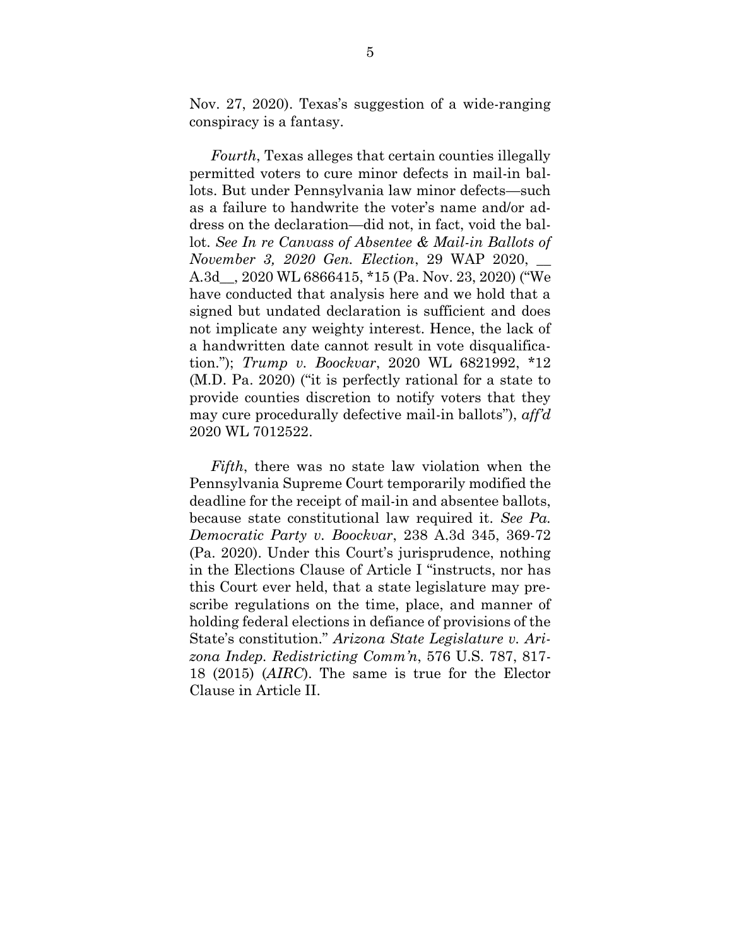Nov. 27, 2020). Texas's suggestion of a wide-ranging conspiracy is a fantasy.

*Fourth*, Texas alleges that certain counties illegally permitted voters to cure minor defects in mail-in ballots. But under Pennsylvania law minor defects—such as a failure to handwrite the voter's name and/or address on the declaration—did not, in fact, void the ballot. *See In re Canvass of Absentee & Mail-in Ballots of November 3, 2020 Gen. Election*, 29 WAP 2020, \_\_ A.3d\_\_, 2020 WL 6866415, \*15 (Pa. Nov. 23, 2020) ("We have conducted that analysis here and we hold that a signed but undated declaration is sufficient and does not implicate any weighty interest. Hence, the lack of a handwritten date cannot result in vote disqualification."); *Trump v. Boockvar*, 2020 WL 6821992, \*12 (M.D. Pa. 2020) ("it is perfectly rational for a state to provide counties discretion to notify voters that they may cure procedurally defective mail-in ballots"), *aff'd* 2020 WL 7012522.

*Fifth*, there was no state law violation when the Pennsylvania Supreme Court temporarily modified the deadline for the receipt of mail-in and absentee ballots, because state constitutional law required it. *See Pa. Democratic Party v. Boockvar*, 238 A.3d 345, 369-72 (Pa. 2020). Under this Court's jurisprudence, nothing in the Elections Clause of Article I "instructs, nor has this Court ever held, that a state legislature may prescribe regulations on the time, place, and manner of holding federal elections in defiance of provisions of the State's constitution." *Arizona State Legislature v. Arizona Indep. Redistricting Comm'n*, 576 U.S. 787, 817- 18 (2015) (*AIRC*). The same is true for the Elector Clause in Article II.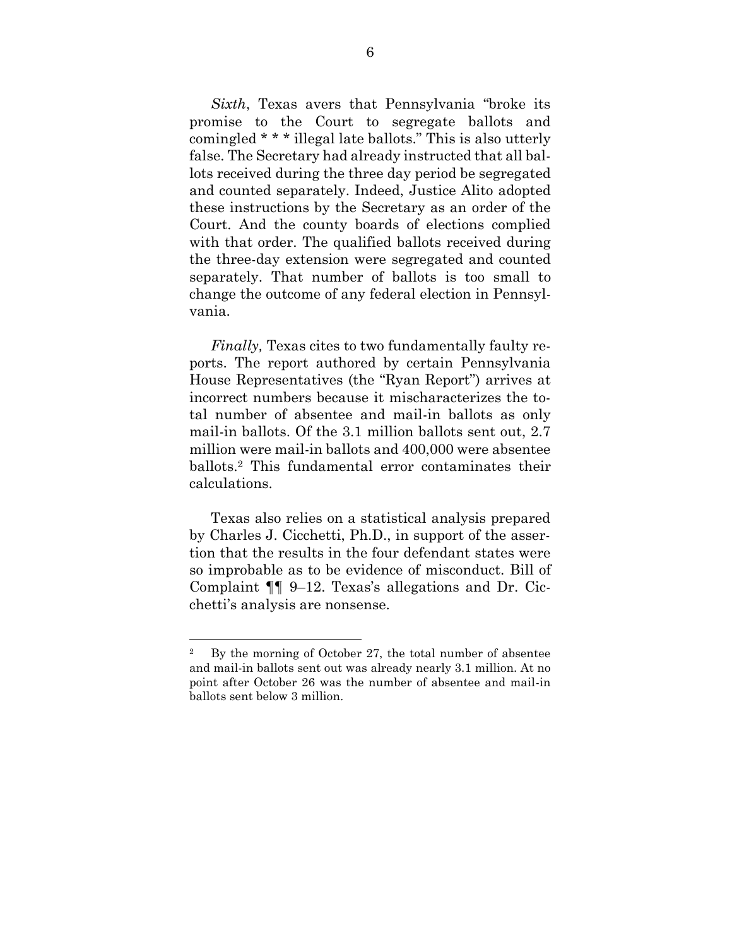*Sixth*, Texas avers that Pennsylvania "broke its promise to the Court to segregate ballots and comingled \* \* \* illegal late ballots." This is also utterly false. The Secretary had already instructed that all ballots received during the three day period be segregated and counted separately. Indeed, Justice Alito adopted these instructions by the Secretary as an order of the Court. And the county boards of elections complied with that order. The qualified ballots received during the three-day extension were segregated and counted separately. That number of ballots is too small to change the outcome of any federal election in Pennsylvania.

*Finally*, Texas cites to two fundamentally faulty reports. The report authored by certain Pennsylvania House Representatives (the "Ryan Report") arrives at incorrect numbers because it mischaracterizes the total number of absentee and mail-in ballots as only mail-in ballots. Of the 3.1 million ballots sent out, 2.7 million were mail-in ballots and 400,000 were absentee ballots.<sup>2</sup> This fundamental error contaminates their calculations.

Texas also relies on a statistical analysis prepared by Charles J. Cicchetti, Ph.D., in support of the assertion that the results in the four defendant states were so improbable as to be evidence of misconduct. Bill of Complaint ¶¶ 9–12. Texas's allegations and Dr. Cicchetti's analysis are nonsense.

<sup>&</sup>lt;sup>2</sup> By the morning of October 27, the total number of absentee and mail-in ballots sent out was already nearly 3.1 million. At no point after October 26 was the number of absentee and mail-in ballots sent below 3 million.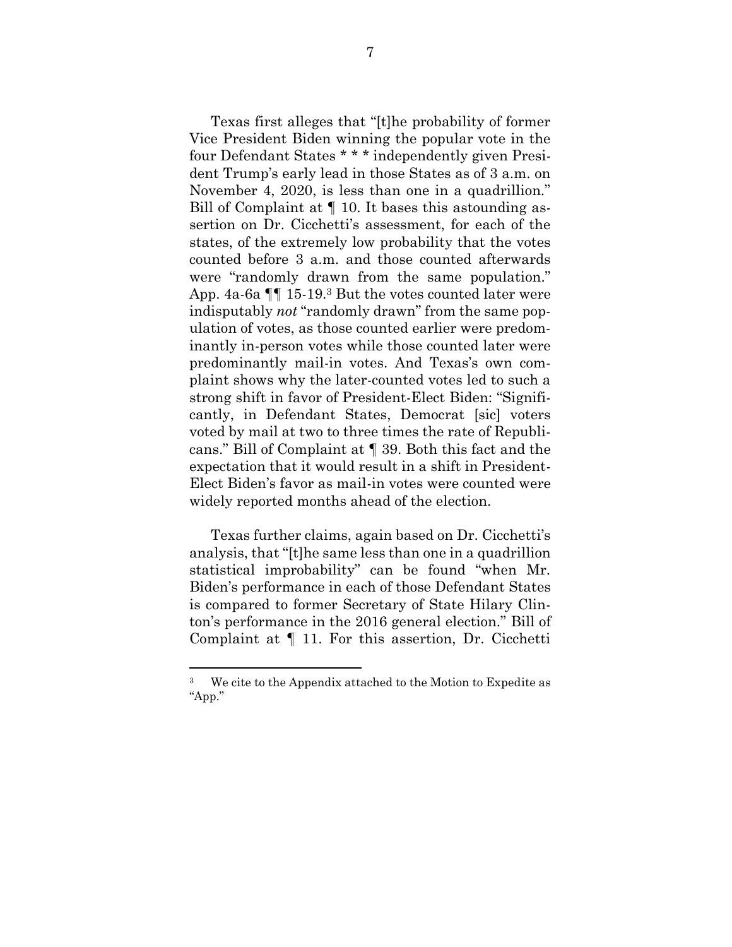Texas first alleges that "[t]he probability of former Vice President Biden winning the popular vote in the four Defendant States \* \* \* independently given President Trump's early lead in those States as of 3 a.m. on November 4, 2020, is less than one in a quadrillion." Bill of Complaint at ¶ 10. It bases this astounding assertion on Dr. Cicchetti's assessment, for each of the states, of the extremely low probability that the votes counted before 3 a.m. and those counted afterwards were "randomly drawn from the same population." App. 4a-6a ¶¶ 15-19. <sup>3</sup> But the votes counted later were indisputably *not* "randomly drawn" from the same population of votes, as those counted earlier were predominantly in-person votes while those counted later were predominantly mail-in votes. And Texas's own complaint shows why the later-counted votes led to such a strong shift in favor of President-Elect Biden: "Significantly, in Defendant States, Democrat [sic] voters voted by mail at two to three times the rate of Republicans." Bill of Complaint at ¶ 39. Both this fact and the expectation that it would result in a shift in President-Elect Biden's favor as mail-in votes were counted were widely reported months ahead of the election.

Texas further claims, again based on Dr. Cicchetti's analysis, that "[t]he same less than one in a quadrillion statistical improbability" can be found "when Mr. Biden's performance in each of those Defendant States is compared to former Secretary of State Hilary Clinton's performance in the 2016 general election." Bill of Complaint at ¶ 11. For this assertion, Dr. Cicchetti

We cite to the Appendix attached to the Motion to Expedite as "App."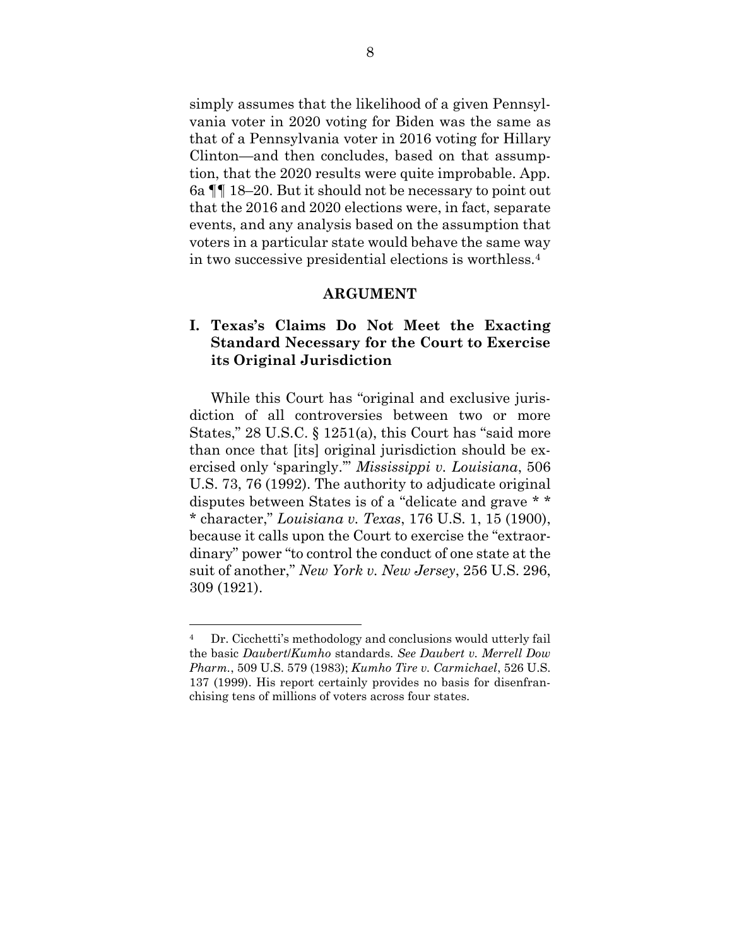simply assumes that the likelihood of a given Pennsylvania voter in 2020 voting for Biden was the same as that of a Pennsylvania voter in 2016 voting for Hillary Clinton—and then concludes, based on that assumption, that the 2020 results were quite improbable. App. 6a ¶¶ 18–20. But it should not be necessary to point out that the 2016 and 2020 elections were, in fact, separate events, and any analysis based on the assumption that voters in a particular state would behave the same way in two successive presidential elections is worthless.<sup>4</sup>

#### **ARGUMENT**

## <span id="page-17-1"></span><span id="page-17-0"></span>**I. Texas's Claims Do Not Meet the Exacting Standard Necessary for the Court to Exercise its Original Jurisdiction**

While this Court has "original and exclusive jurisdiction of all controversies between two or more States," 28 U.S.C. § 1251(a), this Court has "said more than once that [its] original jurisdiction should be exercised only 'sparingly.'" *Mississippi v. Louisiana*, 506 U.S. 73, 76 (1992). The authority to adjudicate original disputes between States is of a "delicate and grave \* \* \* character," *Louisiana v. Texas*, 176 U.S. 1, 15 (1900), because it calls upon the Court to exercise the "extraordinary" power "to control the conduct of one state at the suit of another," *New York v. New Jersey*, 256 U.S. 296, 309 (1921).

<sup>4</sup> Dr. Cicchetti's methodology and conclusions would utterly fail the basic *Daubert*/*Kumho* standards. *See Daubert v. Merrell Dow Pharm.*, 509 U.S. 579 (1983); *Kumho Tire v. Carmichael*, 526 U.S. 137 (1999). His report certainly provides no basis for disenfranchising tens of millions of voters across four states.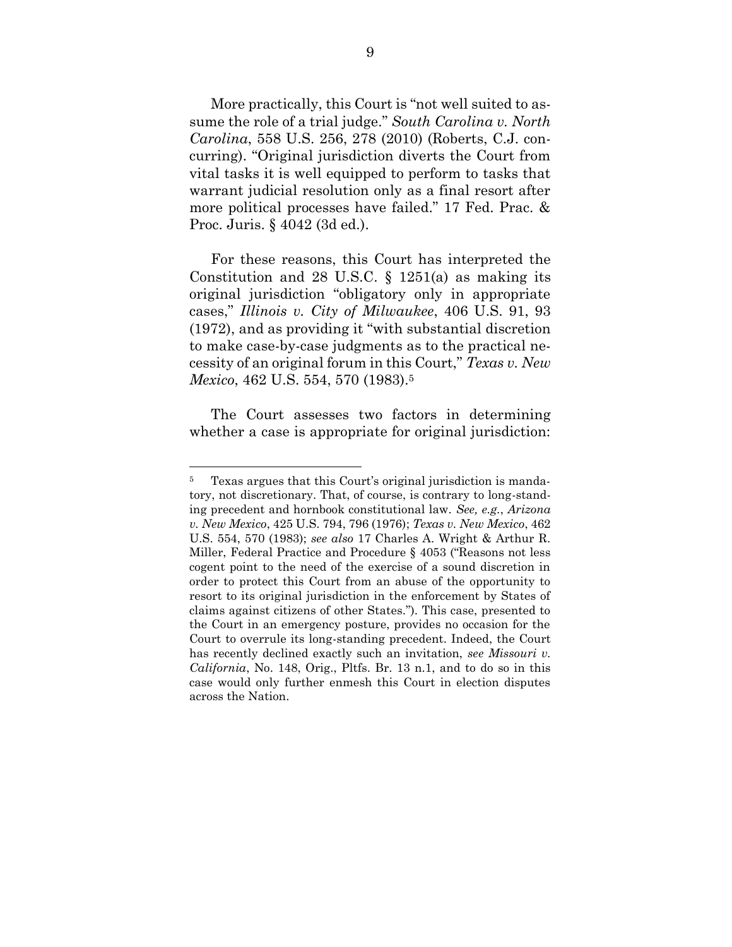More practically, this Court is "not well suited to assume the role of a trial judge." *South Carolina v. North Carolina*, 558 U.S. 256, 278 (2010) (Roberts, C.J. concurring). "Original jurisdiction diverts the Court from vital tasks it is well equipped to perform to tasks that warrant judicial resolution only as a final resort after more political processes have failed." 17 Fed. Prac. & Proc. Juris. § 4042 (3d ed.).

For these reasons, this Court has interpreted the Constitution and 28 U.S.C.  $\S$  1251(a) as making its original jurisdiction "obligatory only in appropriate cases," *Illinois v. City of Milwaukee*, 406 U.S. 91, 93 (1972), and as providing it "with substantial discretion to make case-by-case judgments as to the practical necessity of an original forum in this Court," *Texas v. New Mexico*, 462 U.S. 554, 570 (1983). 5

The Court assesses two factors in determining whether a case is appropriate for original jurisdiction:

<sup>5</sup> Texas argues that this Court's original jurisdiction is mandatory, not discretionary. That, of course, is contrary to long-standing precedent and hornbook constitutional law. *See, e.g.*, *Arizona v. New Mexico*, 425 U.S. 794, 796 (1976); *Texas v. New Mexico*, 462 U.S. 554, 570 (1983); *see also* 17 Charles A. Wright & Arthur R. Miller, Federal Practice and Procedure § 4053 ("Reasons not less cogent point to the need of the exercise of a sound discretion in order to protect this Court from an abuse of the opportunity to resort to its original jurisdiction in the enforcement by States of claims against citizens of other States."). This case, presented to the Court in an emergency posture, provides no occasion for the Court to overrule its long-standing precedent. Indeed, the Court has recently declined exactly such an invitation, *see Missouri v. California*, No. 148, Orig., Pltfs. Br. 13 n.1, and to do so in this case would only further enmesh this Court in election disputes across the Nation.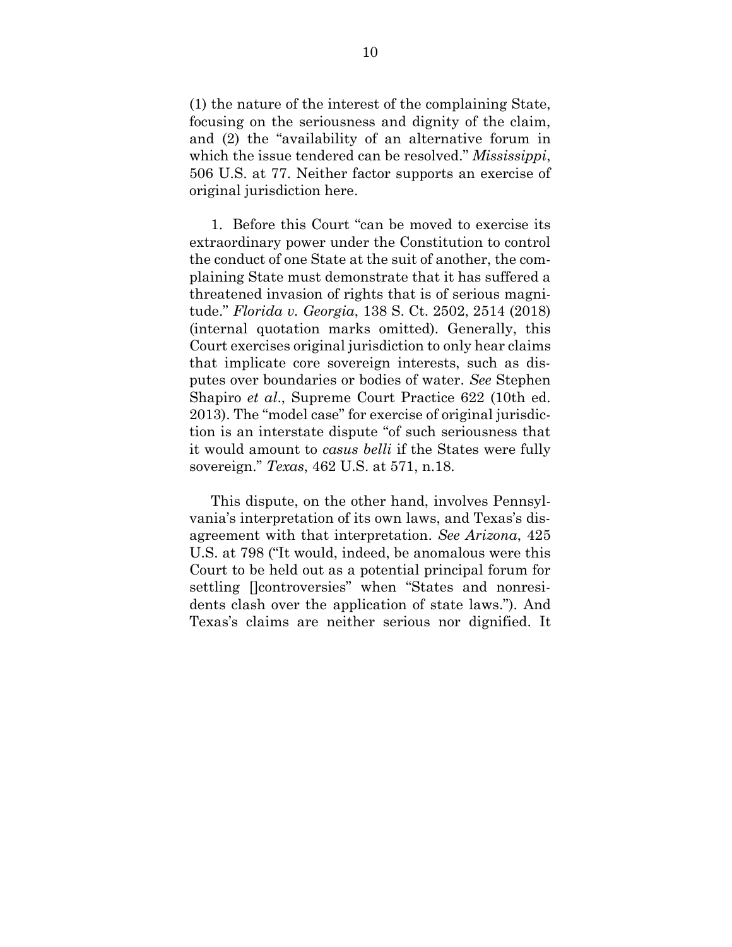(1) the nature of the interest of the complaining State, focusing on the seriousness and dignity of the claim, and (2) the "availability of an alternative forum in which the issue tendered can be resolved." *Mississippi*, 506 U.S. at 77. Neither factor supports an exercise of original jurisdiction here.

1. Before this Court "can be moved to exercise its extraordinary power under the Constitution to control the conduct of one State at the suit of another, the complaining State must demonstrate that it has suffered a threatened invasion of rights that is of serious magnitude." *Florida v. Georgia*, 138 S. Ct. 2502, 2514 (2018) (internal quotation marks omitted). Generally, this Court exercises original jurisdiction to only hear claims that implicate core sovereign interests, such as disputes over boundaries or bodies of water. *See* Stephen Shapiro *et al*., Supreme Court Practice 622 (10th ed. 2013). The "model case" for exercise of original jurisdiction is an interstate dispute "of such seriousness that it would amount to *casus belli* if the States were fully sovereign." *Texas*, 462 U.S. at 571, n.18.

This dispute, on the other hand, involves Pennsylvania's interpretation of its own laws, and Texas's disagreement with that interpretation. *See Arizona*, 425 U.S. at 798 ("It would, indeed, be anomalous were this Court to be held out as a potential principal forum for settling [controversies" when "States and nonresidents clash over the application of state laws."). And Texas's claims are neither serious nor dignified. It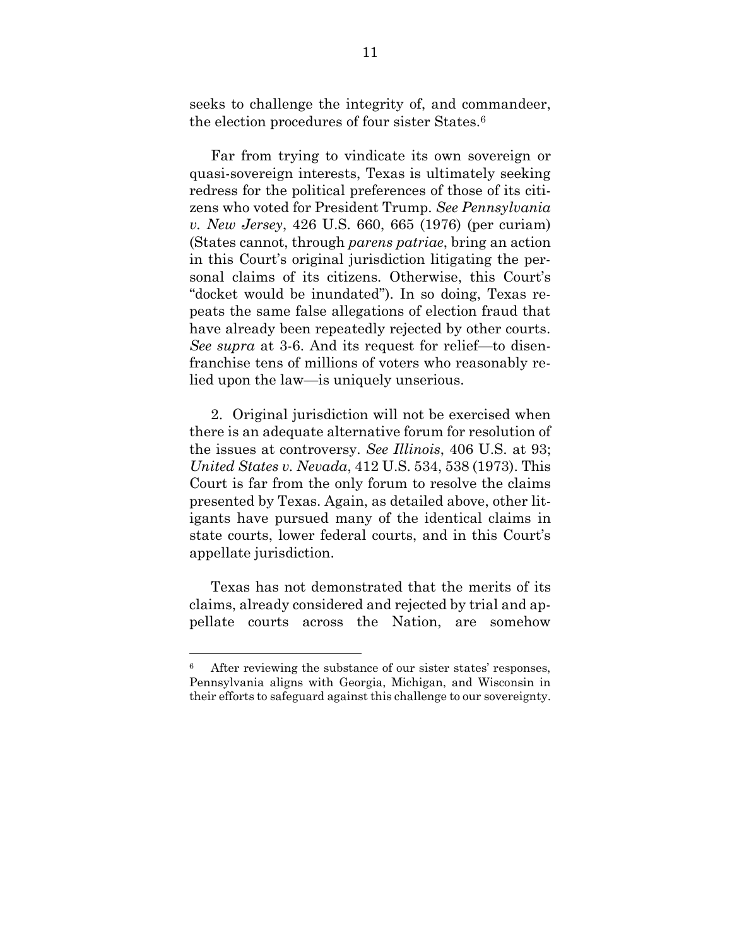seeks to challenge the integrity of, and commandeer, the election procedures of four sister States.<sup>6</sup>

Far from trying to vindicate its own sovereign or quasi-sovereign interests, Texas is ultimately seeking redress for the political preferences of those of its citizens who voted for President Trump. *See Pennsylvania v. New Jersey*, 426 U.S. 660, 665 (1976) (per curiam) (States cannot, through *parens patriae*, bring an action in this Court's original jurisdiction litigating the personal claims of its citizens. Otherwise, this Court's "docket would be inundated"). In so doing, Texas repeats the same false allegations of election fraud that have already been repeatedly rejected by other courts. *See supra* at 3-6. And its request for relief—to disenfranchise tens of millions of voters who reasonably relied upon the law—is uniquely unserious.

2. Original jurisdiction will not be exercised when there is an adequate alternative forum for resolution of the issues at controversy. *See Illinois*, 406 U.S. at 93; *United States v. Nevada*, 412 U.S. 534, 538 (1973). This Court is far from the only forum to resolve the claims presented by Texas. Again, as detailed above, other litigants have pursued many of the identical claims in state courts, lower federal courts, and in this Court's appellate jurisdiction.

Texas has not demonstrated that the merits of its claims, already considered and rejected by trial and appellate courts across the Nation, are somehow

<sup>6</sup> After reviewing the substance of our sister states' responses, Pennsylvania aligns with Georgia, Michigan, and Wisconsin in their efforts to safeguard against this challenge to our sovereignty.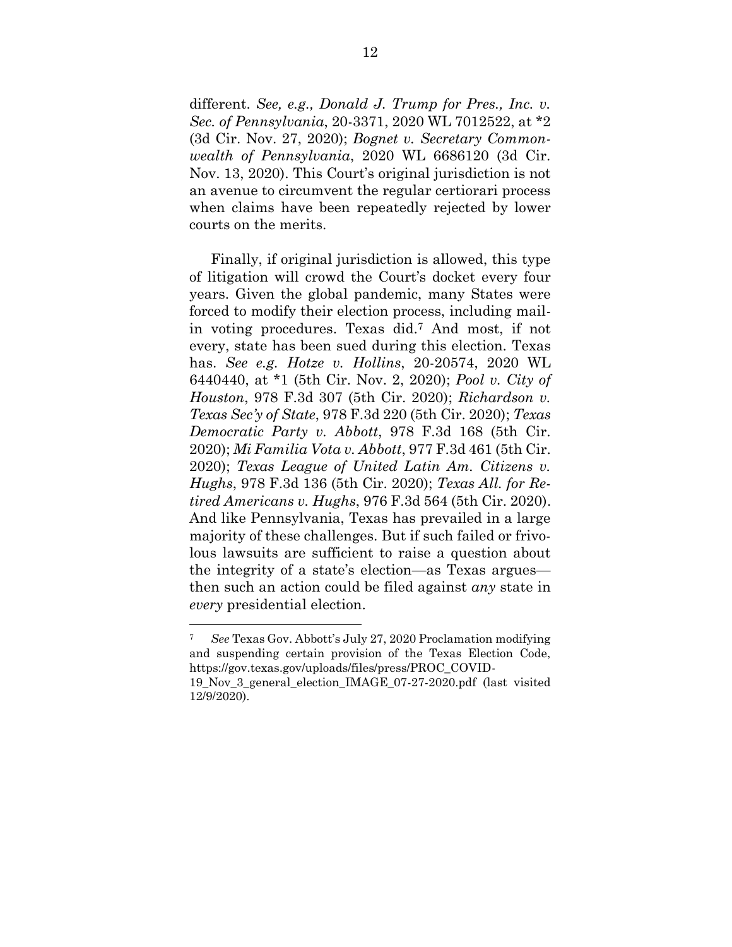different. *See, e.g., Donald J. Trump for Pres., Inc. v. Sec. of Pennsylvania*, 20-3371, 2020 WL 7012522, at \*2 (3d Cir. Nov. 27, 2020); *Bognet v. Secretary Commonwealth of Pennsylvania*, 2020 WL 6686120 (3d Cir. Nov. 13, 2020). This Court's original jurisdiction is not an avenue to circumvent the regular certiorari process when claims have been repeatedly rejected by lower courts on the merits.

Finally, if original jurisdiction is allowed, this type of litigation will crowd the Court's docket every four years. Given the global pandemic, many States were forced to modify their election process, including mailin voting procedures. Texas did.<sup>7</sup> And most, if not every, state has been sued during this election. Texas has. *See e.g. Hotze v. Hollins*, 20-20574, 2020 WL 6440440, at \*1 (5th Cir. Nov. 2, 2020); *Pool v. City of Houston*, 978 F.3d 307 (5th Cir. 2020); *Richardson v. Texas Sec'y of State*, 978 F.3d 220 (5th Cir. 2020); *Texas Democratic Party v. Abbott*, 978 F.3d 168 (5th Cir. 2020); *Mi Familia Vota v. Abbott*, 977 F.3d 461 (5th Cir. 2020); *Texas League of United Latin Am. Citizens v. Hughs*, 978 F.3d 136 (5th Cir. 2020); *Texas All. for Retired Americans v. Hughs*, 976 F.3d 564 (5th Cir. 2020). And like Pennsylvania, Texas has prevailed in a large majority of these challenges. But if such failed or frivolous lawsuits are sufficient to raise a question about the integrity of a state's election—as Texas argues then such an action could be filed against *any* state in *every* presidential election.

<sup>7</sup> *See* Texas Gov. Abbott's July 27, 2020 Proclamation modifying and suspending certain provision of the Texas Election Code, [https://gov.texas.gov/uploads/files/press/PROC\\_COVID-](https://gov.texas.gov/uploads/files/press/PROC_COVID-19_Nov_3_general_election_IMAGE_07-27-2020.pdf)

[<sup>19</sup>\\_Nov\\_3\\_general\\_election\\_IMAGE\\_07-27-2020.pdf](https://gov.texas.gov/uploads/files/press/PROC_COVID-19_Nov_3_general_election_IMAGE_07-27-2020.pdf) (last visited 12/9/2020).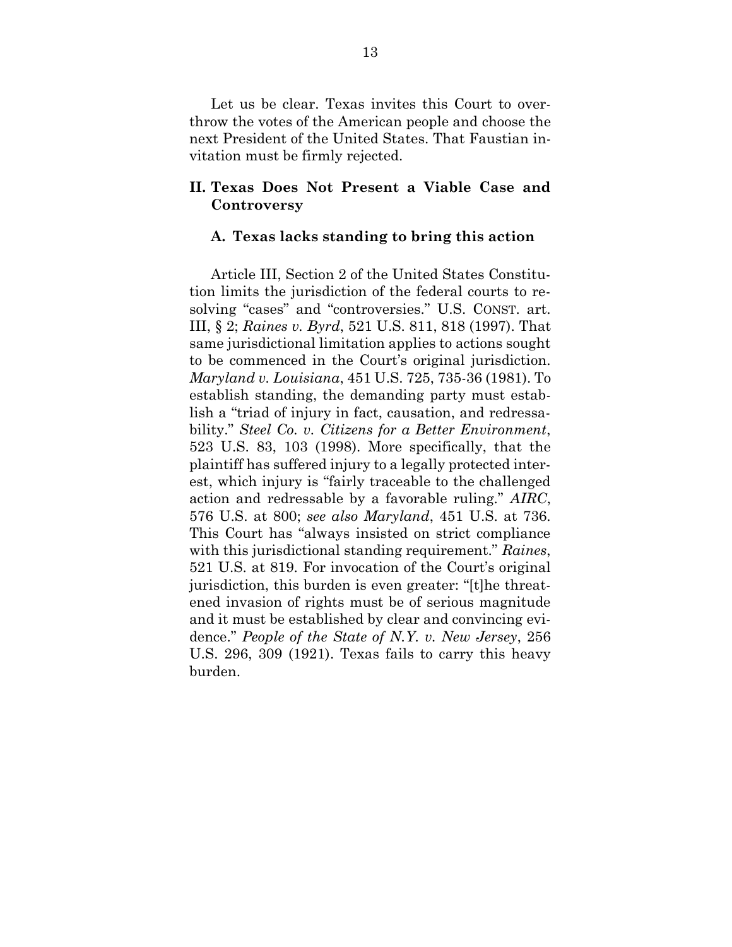Let us be clear. Texas invites this Court to overthrow the votes of the American people and choose the next President of the United States. That Faustian invitation must be firmly rejected.

## <span id="page-22-0"></span>**II. Texas Does Not Present a Viable Case and Controversy**

#### <span id="page-22-1"></span>**A. Texas lacks standing to bring this action**

Article III, Section 2 of the United States Constitution limits the jurisdiction of the federal courts to resolving "cases" and "controversies." U.S. CONST. art. III, § 2; *Raines v. Byrd*, 521 U.S. 811, 818 (1997). That same jurisdictional limitation applies to actions sought to be commenced in the Court's original jurisdiction. *Maryland v. Louisiana*, 451 U.S. 725, 735-36 (1981). To establish standing, the demanding party must establish a "triad of injury in fact, causation, and redressability." *Steel Co. v. Citizens for a Better Environment*, 523 U.S. 83, 103 (1998). More specifically, that the plaintiff has suffered injury to a legally protected interest, which injury is "fairly traceable to the challenged action and redressable by a favorable ruling." *AIRC*, 576 U.S. at 800; *see also Maryland*, 451 U.S. at 736. This Court has "always insisted on strict compliance with this jurisdictional standing requirement." *Raines*, 521 U.S. at 819. For invocation of the Court's original jurisdiction, this burden is even greater: "[t]he threatened invasion of rights must be of serious magnitude and it must be established by clear and convincing evidence." *People of the State of N.Y. v. New Jersey*, 256 U.S. 296, 309 (1921). Texas fails to carry this heavy burden.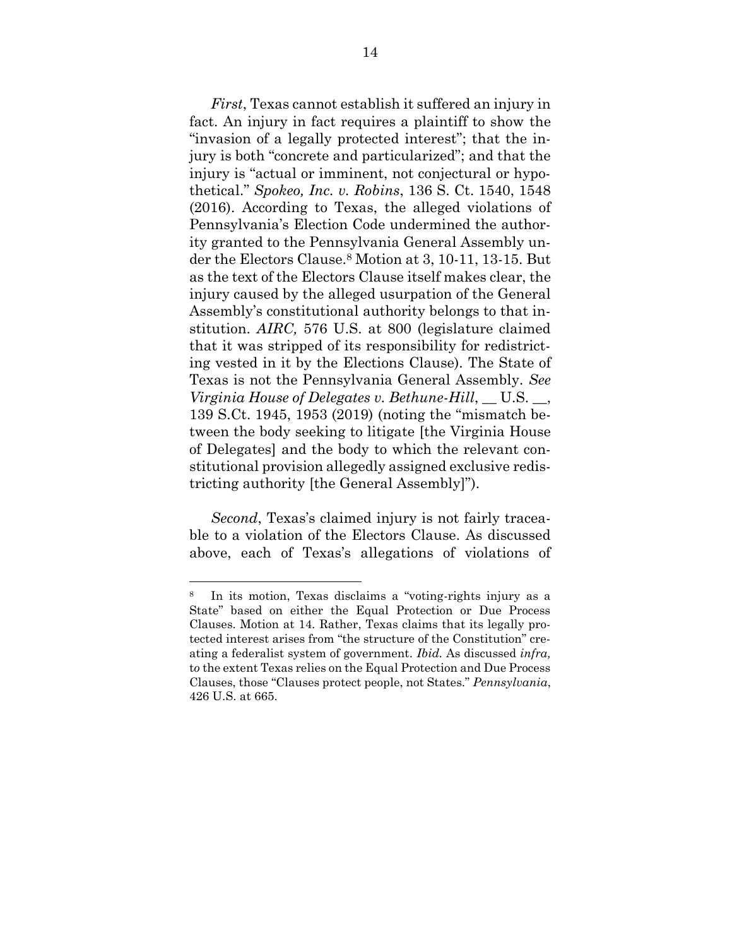*First*, Texas cannot establish it suffered an injury in fact. An injury in fact requires a plaintiff to show the "invasion of a legally protected interest"; that the injury is both "concrete and particularized"; and that the injury is "actual or imminent, not conjectural or hypothetical." *Spokeo, Inc. v. Robins*, 136 S. Ct. 1540, 1548 (2016). According to Texas, the alleged violations of Pennsylvania's Election Code undermined the authority granted to the Pennsylvania General Assembly under the Electors Clause.<sup>8</sup> Motion at 3, 10-11, 13-15. But as the text of the Electors Clause itself makes clear, the injury caused by the alleged usurpation of the General Assembly's constitutional authority belongs to that institution. *AIRC,* 576 U.S. at 800 (legislature claimed that it was stripped of its responsibility for redistricting vested in it by the Elections Clause). The State of Texas is not the Pennsylvania General Assembly. *See Virginia House of Delegates v. Bethune-Hill*, \_\_ U.S. \_\_, 139 S.Ct. 1945, 1953 (2019) (noting the "mismatch between the body seeking to litigate [the Virginia House of Delegates] and the body to which the relevant constitutional provision allegedly assigned exclusive redistricting authority [the General Assembly]").

*Second*, Texas's claimed injury is not fairly traceable to a violation of the Electors Clause. As discussed above, each of Texas's allegations of violations of

<sup>8</sup> In its motion, Texas disclaims a "voting-rights injury as a State" based on either the Equal Protection or Due Process Clauses. Motion at 14. Rather, Texas claims that its legally protected interest arises from "the structure of the Constitution" creating a federalist system of government. *Ibid.* As discussed *infra,*  t*o* the extent Texas relies on the Equal Protection and Due Process Clauses, those "Clauses protect people, not States." *Pennsylvania*, 426 U.S. at 665.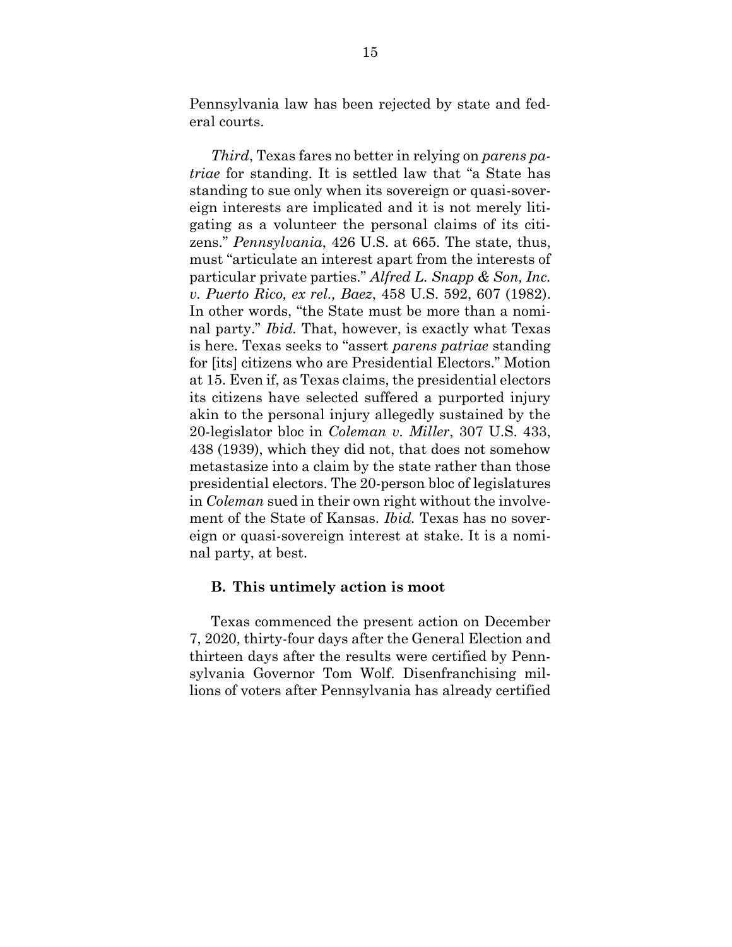Pennsylvania law has been rejected by state and federal courts.

*Third*, Texas fares no better in relying on *parens patriae* for standing. It is settled law that "a State has standing to sue only when its sovereign or quasi-sovereign interests are implicated and it is not merely litigating as a volunteer the personal claims of its citizens." *Pennsylvania*, 426 U.S. at 665. The state, thus, must "articulate an interest apart from the interests of particular private parties." *Alfred L. Snapp & Son, Inc. v. Puerto Rico, ex rel., Baez*, 458 U.S. 592, 607 (1982). In other words, "the State must be more than a nominal party." *Ibid.* That, however, is exactly what Texas is here. Texas seeks to "assert *parens patriae* standing for [its] citizens who are Presidential Electors." Motion at 15. Even if, as Texas claims, the presidential electors its citizens have selected suffered a purported injury akin to the personal injury allegedly sustained by the 20-legislator bloc in *Coleman v. Miller*, 307 U.S. 433, 438 (1939), which they did not, that does not somehow metastasize into a claim by the state rather than those presidential electors. The 20-person bloc of legislatures in *Coleman* sued in their own right without the involvement of the State of Kansas. *Ibid.* Texas has no sovereign or quasi-sovereign interest at stake. It is a nominal party, at best.

#### <span id="page-24-0"></span>**B. This untimely action is moot**

Texas commenced the present action on December 7, 2020, thirty-four days after the General Election and thirteen days after the results were certified by Pennsylvania Governor Tom Wolf. Disenfranchising millions of voters after Pennsylvania has already certified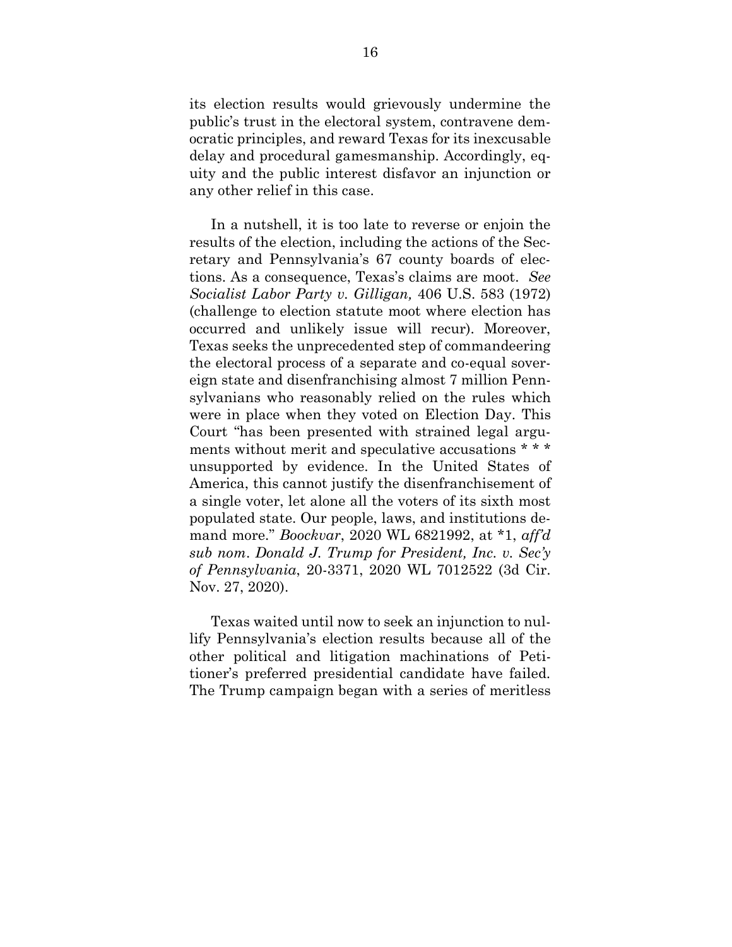its election results would grievously undermine the public's trust in the electoral system, contravene democratic principles, and reward Texas for its inexcusable delay and procedural gamesmanship. Accordingly, equity and the public interest disfavor an injunction or any other relief in this case.

In a nutshell, it is too late to reverse or enjoin the results of the election, including the actions of the Secretary and Pennsylvania's 67 county boards of elections. As a consequence, Texas's claims are moot. *See Socialist Labor Party v. Gilligan,* 406 U.S. 583 (1972) (challenge to election statute moot where election has occurred and unlikely issue will recur). Moreover, Texas seeks the unprecedented step of commandeering the electoral process of a separate and co-equal sovereign state and disenfranchising almost 7 million Pennsylvanians who reasonably relied on the rules which were in place when they voted on Election Day. This Court "has been presented with strained legal arguments without merit and speculative accusations \* \* \* unsupported by evidence. In the United States of America, this cannot justify the disenfranchisement of a single voter, let alone all the voters of its sixth most populated state. Our people, laws, and institutions demand more." *Boockvar*, 2020 WL 6821992, at \*1, *aff'd sub nom*. *Donald J. Trump for President, Inc. v. Sec'y of Pennsylvania*, 20-3371, 2020 WL 7012522 (3d Cir. Nov. 27, 2020).

Texas waited until now to seek an injunction to nullify Pennsylvania's election results because all of the other political and litigation machinations of Petitioner's preferred presidential candidate have failed. The Trump campaign began with a series of meritless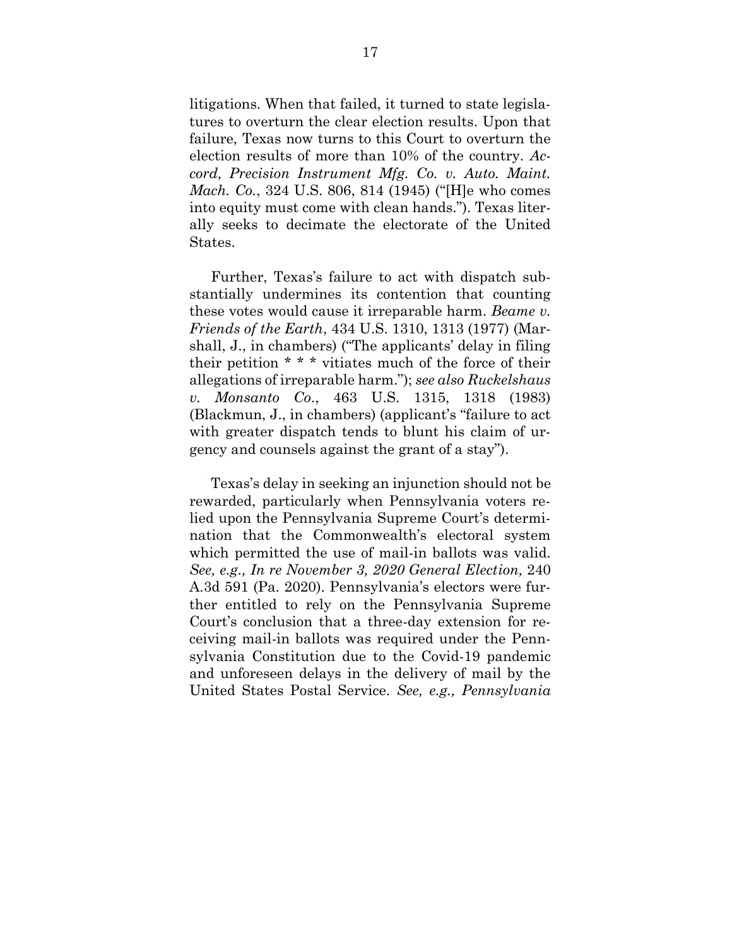litigations. When that failed, it turned to state legislatures to overturn the clear election results. Upon that failure, Texas now turns to this Court to overturn the election results of more than 10% of the country. *Accord, Precision Instrument Mfg. Co. v. Auto. Maint. Mach. Co.*, 324 U.S. 806, 814 (1945) ("[H]e who comes into equity must come with clean hands."). Texas literally seeks to decimate the electorate of the United States.

Further, Texas's failure to act with dispatch substantially undermines its contention that counting these votes would cause it irreparable harm. *Beame v. Friends of the Earth*, 434 U.S. 1310, 1313 (1977) (Marshall, J., in chambers) ("The applicants' delay in filing their petition \* \* \* vitiates much of the force of their allegations of irreparable harm."); *see also Ruckelshaus v. Monsanto Co*., 463 U.S. 1315, 1318 (1983) (Blackmun, J., in chambers) (applicant's "failure to act with greater dispatch tends to blunt his claim of urgency and counsels against the grant of a stay").

Texas's delay in seeking an injunction should not be rewarded, particularly when Pennsylvania voters relied upon the Pennsylvania Supreme Court's determination that the Commonwealth's electoral system which permitted the use of mail-in ballots was valid. *See, e.g., In re November 3, 2020 General Election,* 240 A.3d 591 (Pa. 2020). Pennsylvania's electors were further entitled to rely on the Pennsylvania Supreme Court's conclusion that a three-day extension for receiving mail-in ballots was required under the Pennsylvania Constitution due to the Covid-19 pandemic and unforeseen delays in the delivery of mail by the United States Postal Service. *See, e.g., Pennsylvania*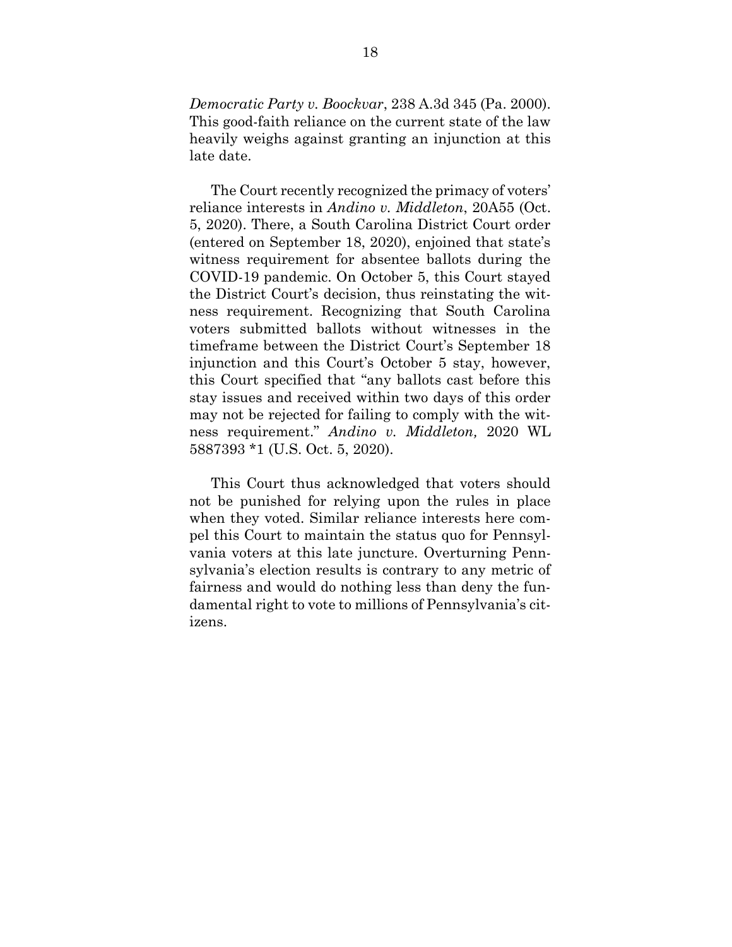*Democratic Party v. Boockvar*, 238 A.3d 345 (Pa. 2000). This good-faith reliance on the current state of the law heavily weighs against granting an injunction at this late date.

The Court recently recognized the primacy of voters' reliance interests in *Andino v. Middleton*, 20A55 (Oct. 5, 2020). There, a South Carolina District Court order (entered on September 18, 2020), enjoined that state's witness requirement for absentee ballots during the COVID-19 pandemic. On October 5, this Court stayed the District Court's decision, thus reinstating the witness requirement. Recognizing that South Carolina voters submitted ballots without witnesses in the timeframe between the District Court's September 18 injunction and this Court's October 5 stay, however, this Court specified that "any ballots cast before this stay issues and received within two days of this order may not be rejected for failing to comply with the witness requirement." *Andino v. Middleton,* 2020 WL 5887393 \*1 (U.S. Oct. 5, 2020).

This Court thus acknowledged that voters should not be punished for relying upon the rules in place when they voted. Similar reliance interests here compel this Court to maintain the status quo for Pennsylvania voters at this late juncture. Overturning Pennsylvania's election results is contrary to any metric of fairness and would do nothing less than deny the fundamental right to vote to millions of Pennsylvania's citizens.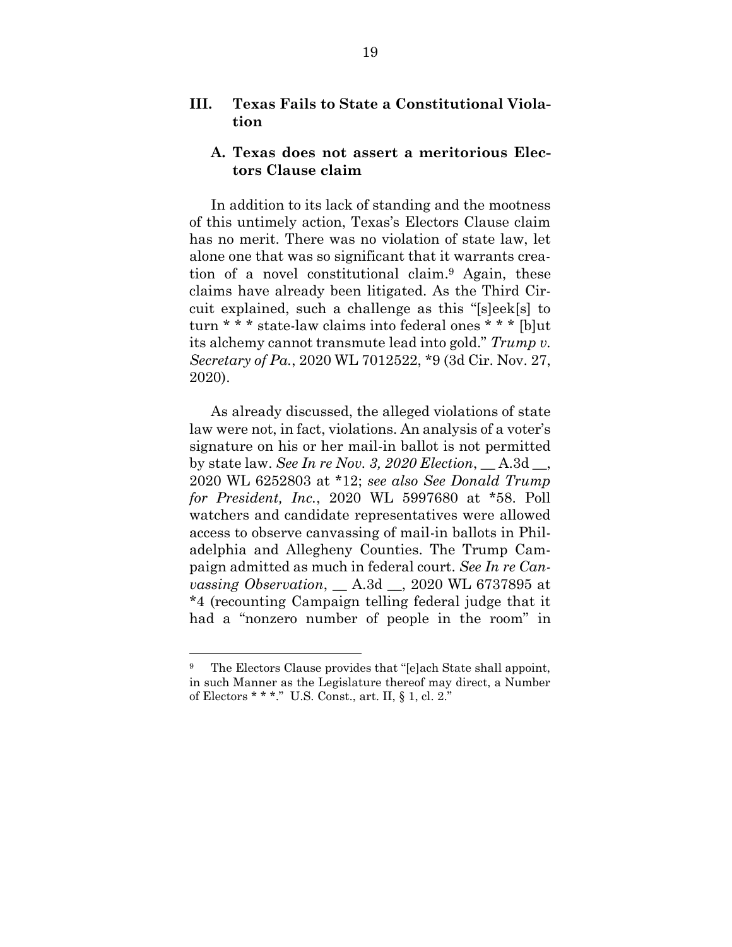### <span id="page-28-0"></span>**III. Texas Fails to State a Constitutional Violation**

### <span id="page-28-1"></span>**A. Texas does not assert a meritorious Electors Clause claim**

In addition to its lack of standing and the mootness of this untimely action, Texas's Electors Clause claim has no merit. There was no violation of state law, let alone one that was so significant that it warrants creation of a novel constitutional claim. <sup>9</sup> Again, these claims have already been litigated. As the Third Circuit explained, such a challenge as this "[s]eek[s] to turn \* \* \* state-law claims into federal ones \* \* \* [b]ut its alchemy cannot transmute lead into gold." *Trump v. Secretary of Pa.*, 2020 WL 7012522, \*9 (3d Cir. Nov. 27, 2020).

As already discussed, the alleged violations of state law were not, in fact, violations. An analysis of a voter's signature on his or her mail-in ballot is not permitted by state law. *See In re Nov. 3, 2020 Election*, \_\_ A.3d \_\_, 2020 WL 6252803 at \*12; *see also See Donald Trump for President, Inc.*, 2020 WL 5997680 at \*58. Poll watchers and candidate representatives were allowed access to observe canvassing of mail-in ballots in Philadelphia and Allegheny Counties. The Trump Campaign admitted as much in federal court. *See In re Canvassing Observation*, \_\_ A.3d \_\_, 2020 WL 6737895 at \*4 (recounting Campaign telling federal judge that it had a "nonzero number of people in the room" in

<sup>&</sup>lt;sup>9</sup> The Electors Clause provides that "[e]ach State shall appoint, in such Manner as the Legislature thereof may direct, a Number of Electors \* \* \*." U.S. Const., art. II, § 1, cl. 2."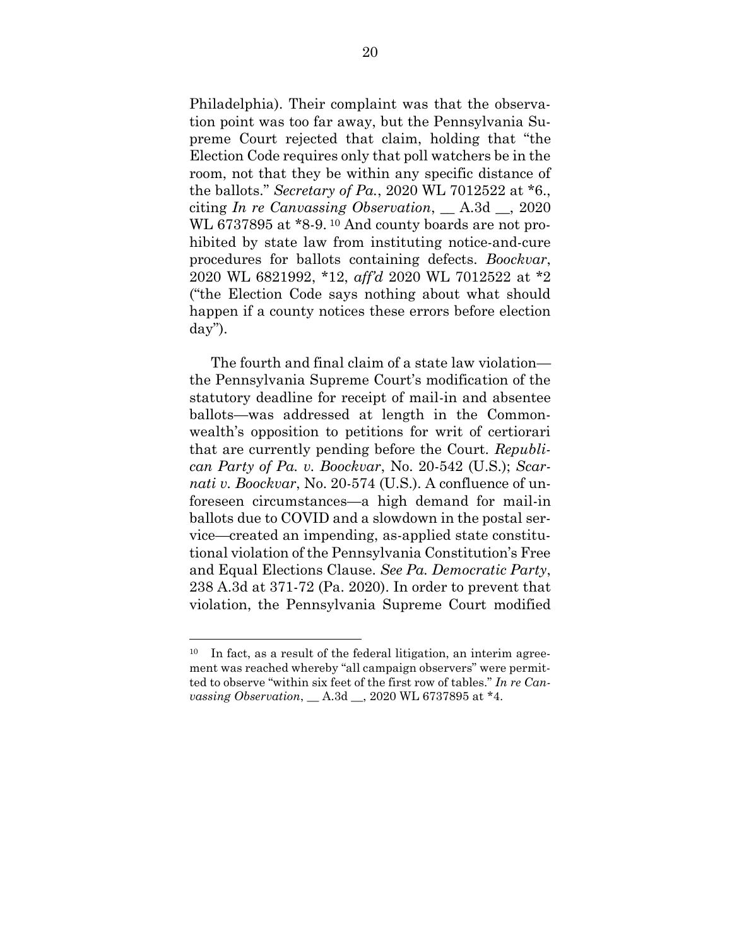Philadelphia). Their complaint was that the observation point was too far away, but the Pennsylvania Supreme Court rejected that claim, holding that "the Election Code requires only that poll watchers be in the room, not that they be within any specific distance of the ballots." *Secretary of Pa.*, 2020 WL 7012522 at \*6., citing *In re Canvassing Observation*, \_\_ A.3d \_\_, 2020 WL 6737895 at \*8-9. <sup>10</sup> And county boards are not prohibited by state law from instituting notice-and-cure procedures for ballots containing defects. *Boockvar*, 2020 WL 6821992, \*12, *aff'd* 2020 WL 7012522 at \*2 ("the Election Code says nothing about what should happen if a county notices these errors before election day").

The fourth and final claim of a state law violation the Pennsylvania Supreme Court's modification of the statutory deadline for receipt of mail-in and absentee ballots—was addressed at length in the Commonwealth's opposition to petitions for writ of certiorari that are currently pending before the Court. *Republican Party of Pa. v. Boockvar*, No. 20-542 (U.S.); *Scarnati v. Boockvar*, No. 20-574 (U.S.). A confluence of unforeseen circumstances—a high demand for mail-in ballots due to COVID and a slowdown in the postal service—created an impending, as-applied state constitutional violation of the Pennsylvania Constitution's Free and Equal Elections Clause. *See Pa. Democratic Party*, 238 A.3d at 371-72 (Pa. 2020). In order to prevent that violation, the Pennsylvania Supreme Court modified

 $10$  In fact, as a result of the federal litigation, an interim agreement was reached whereby "all campaign observers" were permitted to observe "within six feet of the first row of tables." *In re Canvassing Observation*, \_\_ A.3d \_\_, 2020 WL 6737895 at \*4.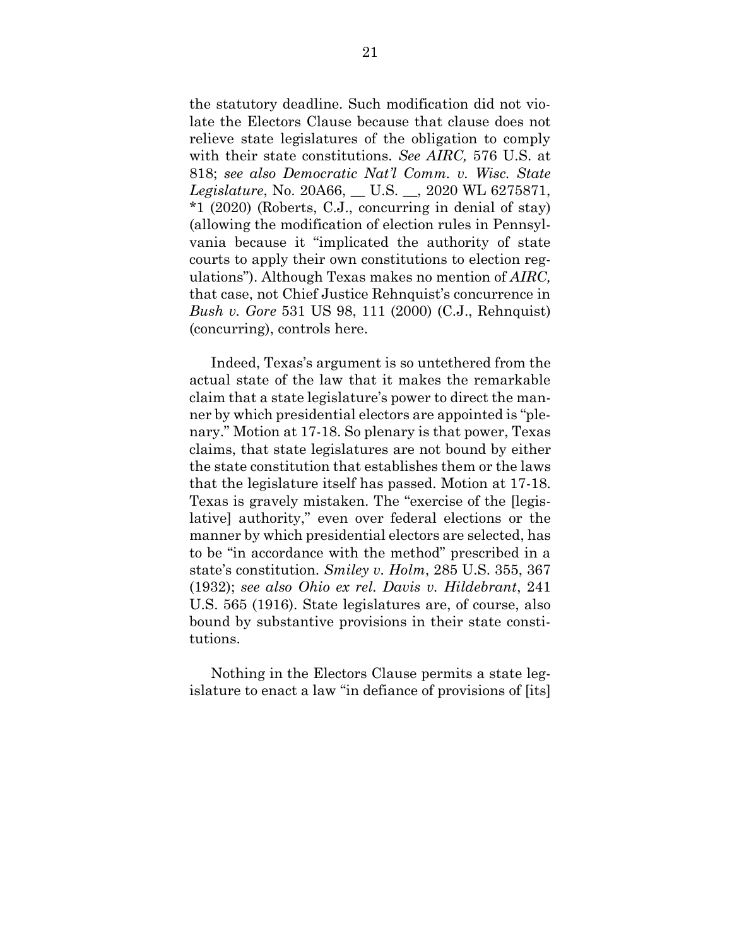the statutory deadline. Such modification did not violate the Electors Clause because that clause does not relieve state legislatures of the obligation to comply with their state constitutions. *See AIRC,* 576 U.S. at 818; *see also Democratic Nat'l Comm. v. Wisc. State Legislature*, No. 20A66, \_\_ U.S. \_\_, 2020 WL 6275871, \*1 (2020) (Roberts, C.J., concurring in denial of stay) (allowing the modification of election rules in Pennsylvania because it "implicated the authority of state courts to apply their own constitutions to election regulations"). Although Texas makes no mention of *AIRC,* that case, not Chief Justice Rehnquist's concurrence in *Bush v. Gore* 531 US 98, 111 (2000) (C.J., Rehnquist) (concurring), controls here.

Indeed, Texas's argument is so untethered from the actual state of the law that it makes the remarkable claim that a state legislature's power to direct the manner by which presidential electors are appointed is "plenary." Motion at 17-18. So plenary is that power, Texas claims, that state legislatures are not bound by either the state constitution that establishes them or the laws that the legislature itself has passed. Motion at 17-18. Texas is gravely mistaken. The "exercise of the [legislative] authority," even over federal elections or the manner by which presidential electors are selected, has to be "in accordance with the method" prescribed in a state's constitution. *Smiley v. Holm*, 285 U.S. 355, 367 (1932); *see also Ohio ex rel. Davis v. Hildebrant*, 241 U.S. 565 (1916). State legislatures are, of course, also bound by substantive provisions in their state constitutions.

Nothing in the Electors Clause permits a state legislature to enact a law "in defiance of provisions of [its]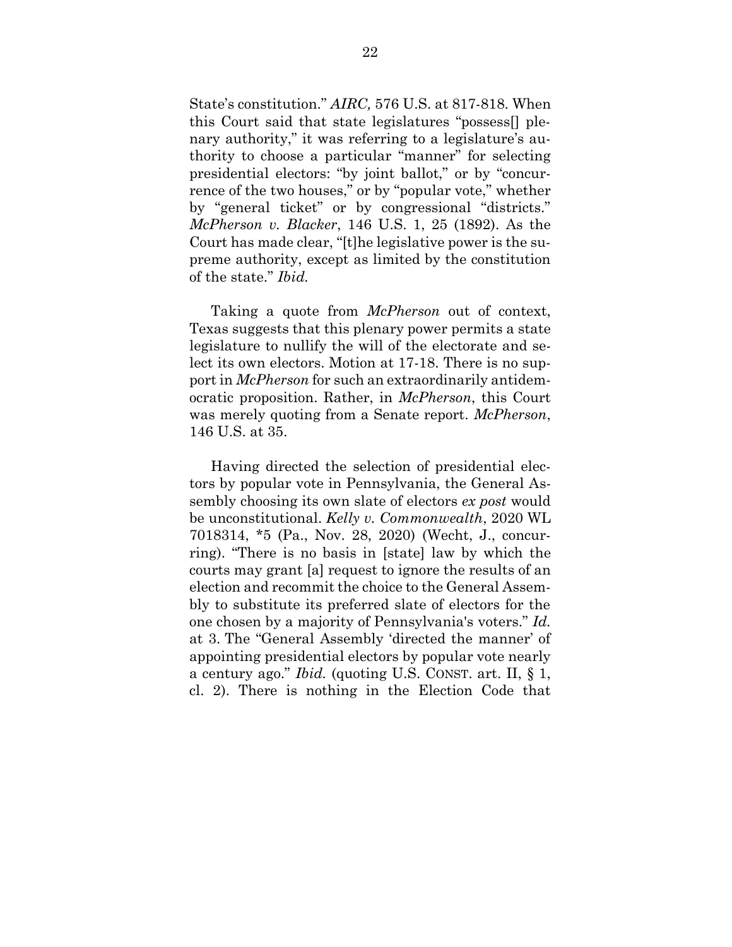State's constitution." *AIRC,* 576 U.S. at 817-818. When this Court said that state legislatures "possess[] plenary authority," it was referring to a legislature's authority to choose a particular "manner" for selecting presidential electors: "by joint ballot," or by "concurrence of the two houses," or by "popular vote," whether by "general ticket" or by congressional "districts." *McPherson v. Blacker*, 146 U.S. 1, 25 (1892). As the Court has made clear, "[t]he legislative power is the supreme authority, except as limited by the constitution of the state." *Ibid.*

Taking a quote from *McPherson* out of context, Texas suggests that this plenary power permits a state legislature to nullify the will of the electorate and select its own electors. Motion at 17-18. There is no support in *McPherson* for such an extraordinarily antidemocratic proposition. Rather, in *McPherson*, this Court was merely quoting from a Senate report. *McPherson*, 146 U.S. at 35.

Having directed the selection of presidential electors by popular vote in Pennsylvania, the General Assembly choosing its own slate of electors *ex post* would be unconstitutional. *Kelly v. Commonwealth*, 2020 WL 7018314, \*5 (Pa., Nov. 28, 2020) (Wecht, J., concurring). "There is no basis in [state] law by which the courts may grant [a] request to ignore the results of an election and recommit the choice to the General Assembly to substitute its preferred slate of electors for the one chosen by a majority of Pennsylvania's voters." *Id.* at 3. The "General Assembly 'directed the manner' of appointing presidential electors by popular vote nearly a century ago." *Ibid.* (quoting U.S. CONST. art. II, § 1, cl. 2). There is nothing in the Election Code that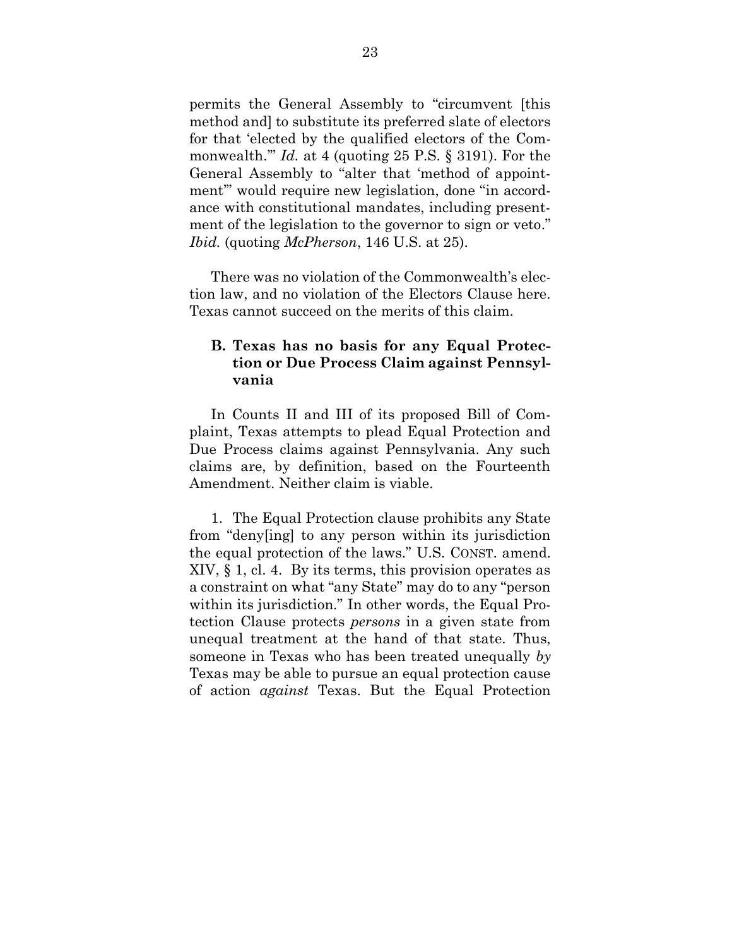permits the General Assembly to "circumvent [this method and] to substitute its preferred slate of electors for that 'elected by the qualified electors of the Commonwealth.'" *Id.* at 4 (quoting 25 P.S. § 3191). For the General Assembly to "alter that 'method of appointment'" would require new legislation, done "in accordance with constitutional mandates, including presentment of the legislation to the governor to sign or veto." *Ibid.* (quoting *McPherson*, 146 U.S. at 25).

There was no violation of the Commonwealth's election law, and no violation of the Electors Clause here. Texas cannot succeed on the merits of this claim.

## <span id="page-32-0"></span>**B. Texas has no basis for any Equal Protection or Due Process Claim against Pennsylvania**

In Counts II and III of its proposed Bill of Complaint, Texas attempts to plead Equal Protection and Due Process claims against Pennsylvania. Any such claims are, by definition, based on the Fourteenth Amendment. Neither claim is viable.

1. The Equal Protection clause prohibits any State from "deny[ing] to any person within its jurisdiction the equal protection of the laws." U.S. CONST. amend. XIV, § 1, cl. 4. By its terms, this provision operates as a constraint on what "any State" may do to any "person within its jurisdiction." In other words, the Equal Protection Clause protects *persons* in a given state from unequal treatment at the hand of that state. Thus, someone in Texas who has been treated unequally *by* Texas may be able to pursue an equal protection cause of action *against* Texas. But the Equal Protection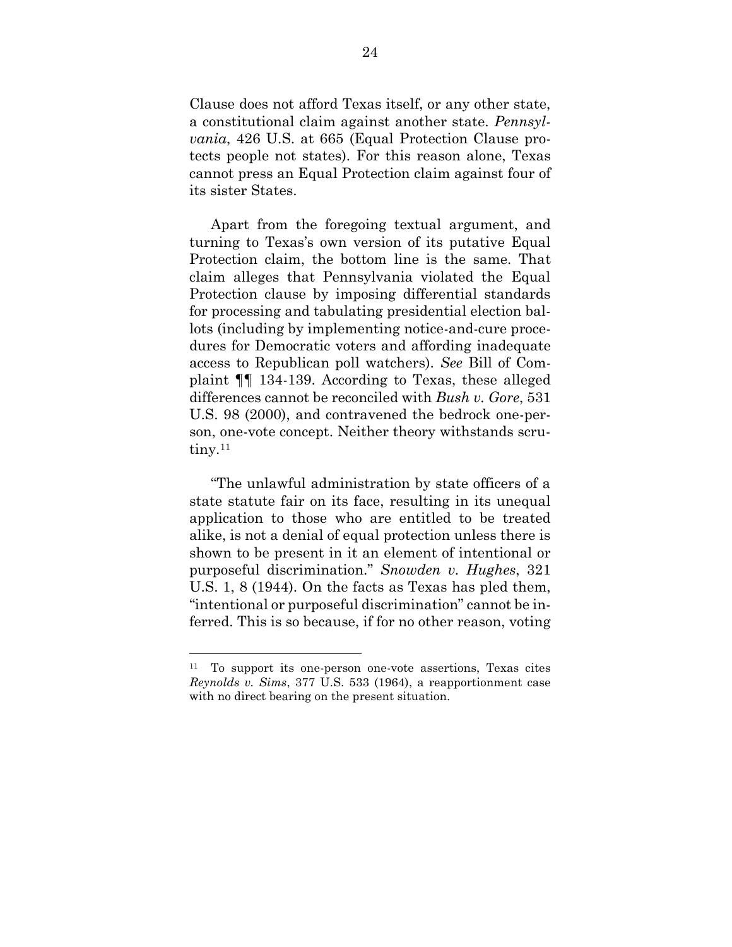Clause does not afford Texas itself, or any other state, a constitutional claim against another state. *Pennsylvania*, 426 U.S. at 665 (Equal Protection Clause protects people not states). For this reason alone, Texas cannot press an Equal Protection claim against four of its sister States.

Apart from the foregoing textual argument, and turning to Texas's own version of its putative Equal Protection claim, the bottom line is the same. That claim alleges that Pennsylvania violated the Equal Protection clause by imposing differential standards for processing and tabulating presidential election ballots (including by implementing notice-and-cure procedures for Democratic voters and affording inadequate access to Republican poll watchers). *See* Bill of Complaint ¶¶ 134-139. According to Texas, these alleged differences cannot be reconciled with *Bush v. Gore*, 531 U.S. 98 (2000), and contravened the bedrock one-person, one-vote concept. Neither theory withstands scrutiny.<sup>11</sup>

"The unlawful administration by state officers of a state statute fair on its face, resulting in its unequal application to those who are entitled to be treated alike, is not a denial of equal protection unless there is shown to be present in it an element of intentional or purposeful discrimination." *Snowden v. Hughes*, 321 U.S. 1, 8 (1944). On the facts as Texas has pled them, "intentional or purposeful discrimination" cannot be inferred. This is so because, if for no other reason, voting

<sup>11</sup> To support its one-person one-vote assertions, Texas cites *Reynolds v. Sims*, 377 U.S. 533 (1964), a reapportionment case with no direct bearing on the present situation.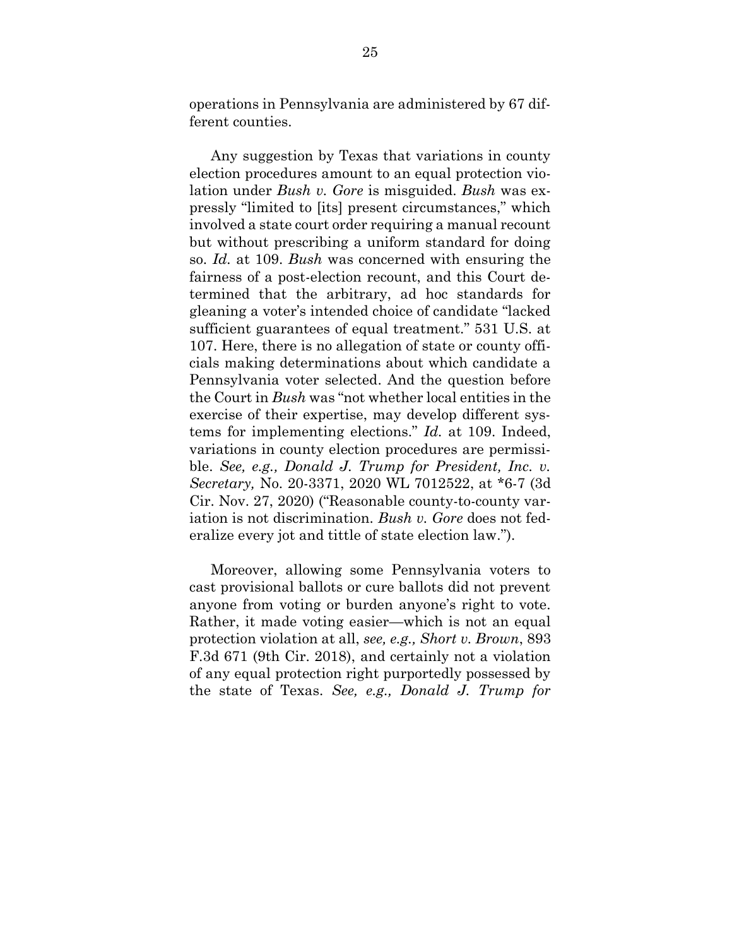operations in Pennsylvania are administered by 67 different counties.

Any suggestion by Texas that variations in county election procedures amount to an equal protection violation under *Bush v. Gore* is misguided. *Bush* was expressly "limited to [its] present circumstances," which involved a state court order requiring a manual recount but without prescribing a uniform standard for doing so. *Id.* at 109. *Bush* was concerned with ensuring the fairness of a post-election recount, and this Court determined that the arbitrary, ad hoc standards for gleaning a voter's intended choice of candidate "lacked sufficient guarantees of equal treatment." 531 U.S. at 107. Here, there is no allegation of state or county officials making determinations about which candidate a Pennsylvania voter selected. And the question before the Court in *Bush* was "not whether local entities in the exercise of their expertise, may develop different systems for implementing elections." *Id.* at 109. Indeed, variations in county election procedures are permissible. *See, e.g., Donald J. Trump for President, Inc. v. Secretary,* No. 20-3371, 2020 WL 7012522, at \*6-7 (3d Cir. Nov. 27, 2020) ("Reasonable county-to-county variation is not discrimination. *Bush v. Gore* does not federalize every jot and tittle of state election law.").

Moreover, allowing some Pennsylvania voters to cast provisional ballots or cure ballots did not prevent anyone from voting or burden anyone's right to vote. Rather, it made voting easier—which is not an equal protection violation at all, *see, e.g., Short v. Brown*, 893 F.3d 671 (9th Cir. 2018), and certainly not a violation of any equal protection right purportedly possessed by the state of Texas. *See, e.g., Donald J. Trump for*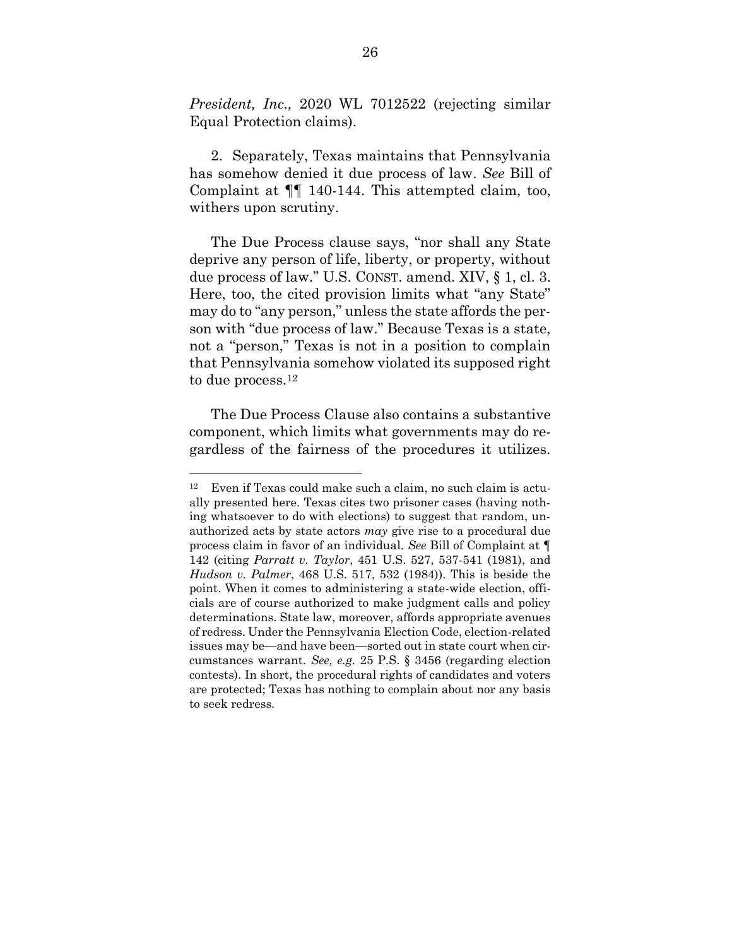*President, Inc.,* 2020 WL 7012522 (rejecting similar Equal Protection claims).

2. Separately, Texas maintains that Pennsylvania has somehow denied it due process of law. *See* Bill of Complaint at ¶¶ 140-144. This attempted claim, too, withers upon scrutiny.

The Due Process clause says, "nor shall any State deprive any person of life, liberty, or property, without due process of law." U.S. CONST. amend. XIV, § 1, cl. 3. Here, too, the cited provision limits what "any State" may do to "any person," unless the state affords the person with "due process of law." Because Texas is a state, not a "person," Texas is not in a position to complain that Pennsylvania somehow violated its supposed right to due process.<sup>12</sup>

The Due Process Clause also contains a substantive component, which limits what governments may do regardless of the fairness of the procedures it utilizes.

<sup>12</sup> Even if Texas could make such a claim, no such claim is actually presented here. Texas cites two prisoner cases (having nothing whatsoever to do with elections) to suggest that random, unauthorized acts by state actors *may* give rise to a procedural due process claim in favor of an individual. *See* Bill of Complaint at ¶ 142 (citing *Parratt v. Taylor*, 451 U.S. 527, 537-541 (1981), and *Hudson v. Palmer*, 468 U.S. 517, 532 (1984)). This is beside the point. When it comes to administering a state-wide election, officials are of course authorized to make judgment calls and policy determinations. State law, moreover, affords appropriate avenues of redress. Under the Pennsylvania Election Code, election-related issues may be—and have been—sorted out in state court when circumstances warrant. *See, e.g.* 25 P.S. § 3456 (regarding election contests). In short, the procedural rights of candidates and voters are protected; Texas has nothing to complain about nor any basis to seek redress.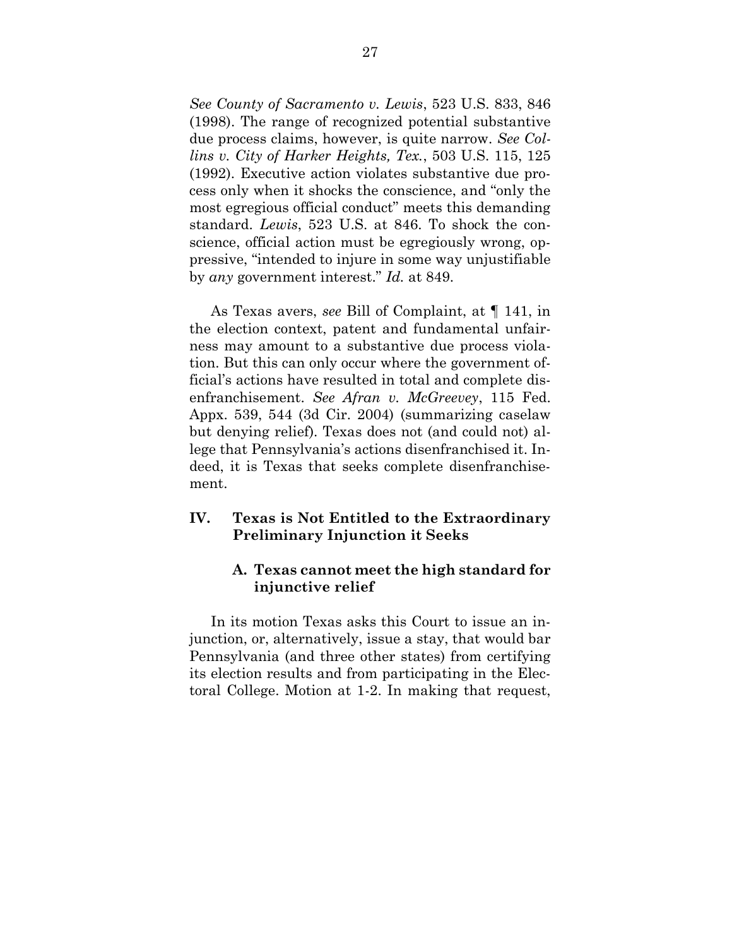*See County of Sacramento v. Lewis*, 523 U.S. 833, 846 (1998). The range of recognized potential substantive due process claims, however, is quite narrow. *See Collins v. City of Harker Heights, Tex.*, 503 U.S. 115, 125 (1992). Executive action violates substantive due process only when it shocks the conscience, and "only the most egregious official conduct" meets this demanding standard. *Lewis*, 523 U.S. at 846. To shock the conscience, official action must be egregiously wrong, oppressive, "intended to injure in some way unjustifiable by *any* government interest." *Id.* at 849.

As Texas avers, *see* Bill of Complaint, at ¶ 141, in the election context, patent and fundamental unfairness may amount to a substantive due process violation. But this can only occur where the government official's actions have resulted in total and complete disenfranchisement. *See Afran v. McGreevey*, 115 Fed. Appx. 539, 544 (3d Cir. 2004) (summarizing caselaw but denying relief). Texas does not (and could not) allege that Pennsylvania's actions disenfranchised it. Indeed, it is Texas that seeks complete disenfranchisement.

### <span id="page-36-0"></span>**IV. Texas is Not Entitled to the Extraordinary Preliminary Injunction it Seeks**

### <span id="page-36-1"></span>**A. Texas cannot meet the high standard for injunctive relief**

In its motion Texas asks this Court to issue an injunction, or, alternatively, issue a stay, that would bar Pennsylvania (and three other states) from certifying its election results and from participating in the Electoral College. Motion at 1-2. In making that request,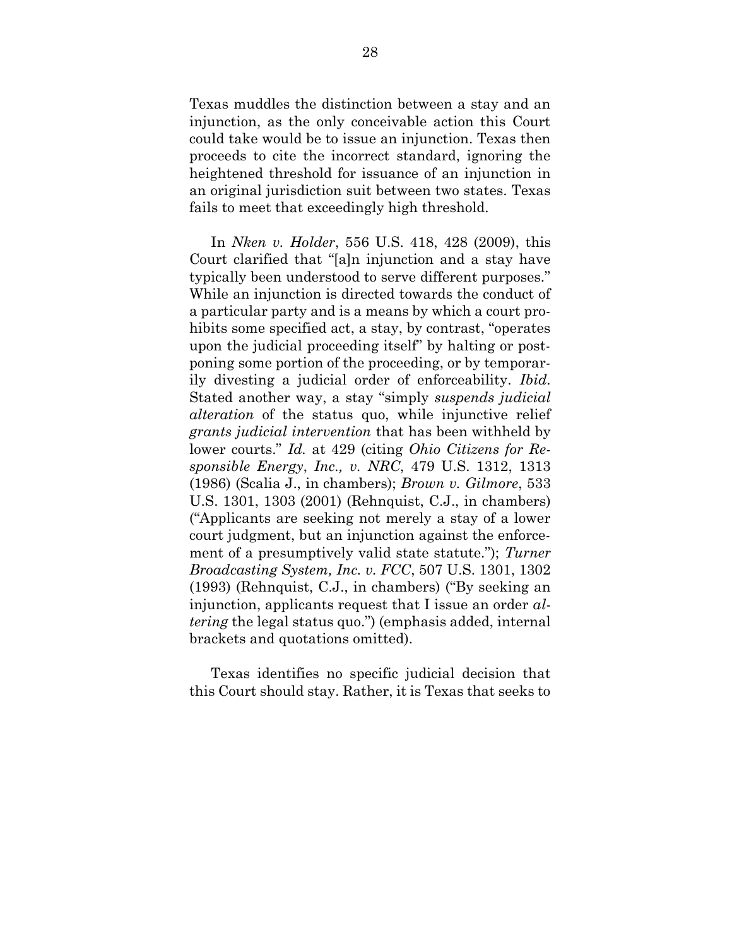Texas muddles the distinction between a stay and an injunction, as the only conceivable action this Court could take would be to issue an injunction. Texas then proceeds to cite the incorrect standard, ignoring the heightened threshold for issuance of an injunction in an original jurisdiction suit between two states. Texas fails to meet that exceedingly high threshold.

In *Nken v. Holder*, 556 U.S. 418, 428 (2009), this Court clarified that "[a]n injunction and a stay have typically been understood to serve different purposes." While an injunction is directed towards the conduct of a particular party and is a means by which a court prohibits some specified act, a stay, by contrast, "operates upon the judicial proceeding itself" by halting or postponing some portion of the proceeding, or by temporarily divesting a judicial order of enforceability. *Ibid.* Stated another way, a stay "simply *suspends judicial alteration* of the status quo, while injunctive relief *grants judicial intervention* that has been withheld by lower courts." *Id.* at 429 (citing *Ohio Citizens for Responsible Energy*, *Inc., v. NRC*, 479 U.S. 1312, 1313 (1986) (Scalia J., in chambers); *Brown v. Gilmore*, 533 U.S. 1301, 1303 (2001) (Rehnquist, C.J., in chambers) ("Applicants are seeking not merely a stay of a lower court judgment, but an injunction against the enforcement of a presumptively valid state statute."); *Turner Broadcasting System, Inc. v. FCC*, 507 U.S. 1301, 1302 (1993) (Rehnquist, C.J., in chambers) ("By seeking an injunction, applicants request that I issue an order *altering* the legal status quo.") (emphasis added, internal brackets and quotations omitted).

Texas identifies no specific judicial decision that this Court should stay. Rather, it is Texas that seeks to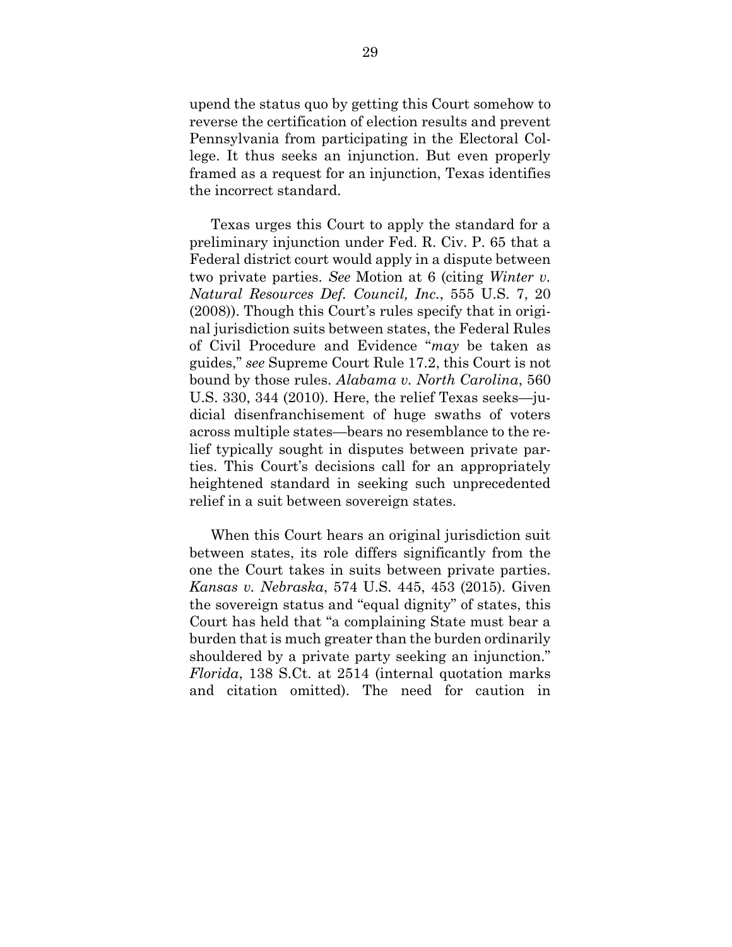upend the status quo by getting this Court somehow to reverse the certification of election results and prevent Pennsylvania from participating in the Electoral College. It thus seeks an injunction. But even properly framed as a request for an injunction, Texas identifies the incorrect standard.

Texas urges this Court to apply the standard for a preliminary injunction under Fed. R. Civ. P. 65 that a Federal district court would apply in a dispute between two private parties. *See* Motion at 6 (citing *Winter v. Natural Resources Def. Council, Inc.*, 555 U.S. 7, 20 (2008)). Though this Court's rules specify that in original jurisdiction suits between states, the Federal Rules of Civil Procedure and Evidence "*may* be taken as guides," *see* Supreme Court Rule 17.2, this Court is not bound by those rules. *Alabama v. North Carolina*, 560 U.S. 330, 344 (2010). Here, the relief Texas seeks—judicial disenfranchisement of huge swaths of voters across multiple states—bears no resemblance to the relief typically sought in disputes between private parties. This Court's decisions call for an appropriately heightened standard in seeking such unprecedented relief in a suit between sovereign states.

When this Court hears an original jurisdiction suit between states, its role differs significantly from the one the Court takes in suits between private parties. *Kansas v. Nebraska*, 574 U.S. 445, 453 (2015)*.* Given the sovereign status and "equal dignity" of states, this Court has held that "a complaining State must bear a burden that is much greater than the burden ordinarily shouldered by a private party seeking an injunction." *Florida*, 138 S.Ct. at 2514 (internal quotation marks and citation omitted). The need for caution in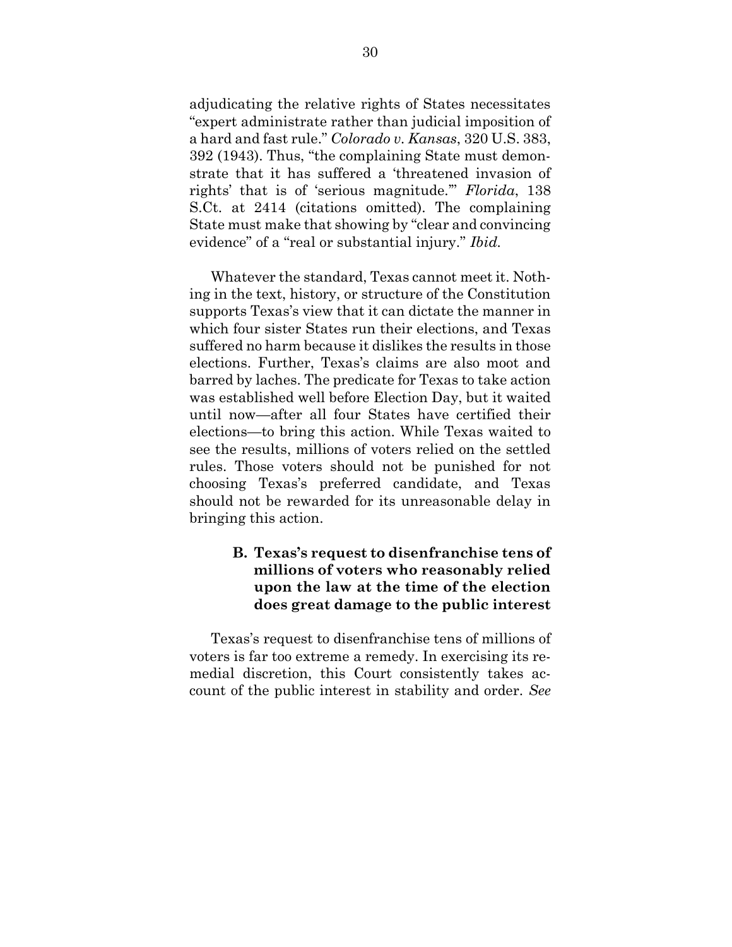adjudicating the relative rights of States necessitates "expert administrate rather than judicial imposition of a hard and fast rule." *Colorado v. Kansas*, 320 U.S. 383, 392 (1943). Thus, "the complaining State must demonstrate that it has suffered a 'threatened invasion of rights' that is of 'serious magnitude.'" *Florida*, 138 S.Ct. at 2414 (citations omitted). The complaining State must make that showing by "clear and convincing evidence" of a "real or substantial injury." *Ibid.*

Whatever the standard, Texas cannot meet it. Nothing in the text, history, or structure of the Constitution supports Texas's view that it can dictate the manner in which four sister States run their elections, and Texas suffered no harm because it dislikes the results in those elections. Further, Texas's claims are also moot and barred by laches. The predicate for Texas to take action was established well before Election Day, but it waited until now—after all four States have certified their elections—to bring this action. While Texas waited to see the results, millions of voters relied on the settled rules. Those voters should not be punished for not choosing Texas's preferred candidate, and Texas should not be rewarded for its unreasonable delay in bringing this action.

## <span id="page-39-0"></span>**B. Texas's request to disenfranchise tens of millions of voters who reasonably relied upon the law at the time of the election does great damage to the public interest**

Texas's request to disenfranchise tens of millions of voters is far too extreme a remedy. In exercising its remedial discretion, this Court consistently takes account of the public interest in stability and order. *See*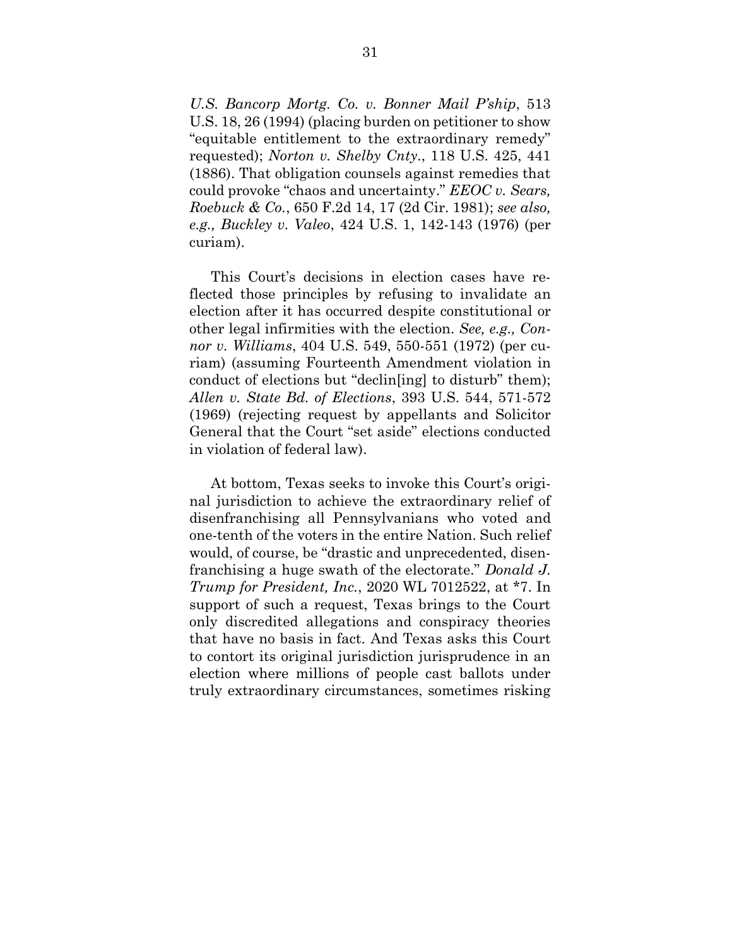*U.S. Bancorp Mortg. Co. v. Bonner Mail P'ship*, 513 U.S. 18, 26 (1994) (placing burden on petitioner to show "equitable entitlement to the extraordinary remedy" requested); *Norton v. Shelby Cnty*., 118 U.S. 425, 441 (1886). That obligation counsels against remedies that could provoke "chaos and uncertainty." *EEOC v. Sears, Roebuck & Co.*, 650 F.2d 14, 17 (2d Cir. 1981); *see also, e.g., Buckley v. Valeo*, 424 U.S. 1, 142-143 (1976) (per curiam).

This Court's decisions in election cases have reflected those principles by refusing to invalidate an election after it has occurred despite constitutional or other legal infirmities with the election. *See, e.g., Connor v. Williams*, 404 U.S. 549, 550-551 (1972) (per curiam) (assuming Fourteenth Amendment violation in conduct of elections but "declin[ing] to disturb" them); *Allen v. State Bd. of Elections*, 393 U.S. 544, 571-572 (1969) (rejecting request by appellants and Solicitor General that the Court "set aside" elections conducted in violation of federal law).

At bottom, Texas seeks to invoke this Court's original jurisdiction to achieve the extraordinary relief of disenfranchising all Pennsylvanians who voted and one-tenth of the voters in the entire Nation. Such relief would, of course, be "drastic and unprecedented, disenfranchising a huge swath of the electorate." *Donald J. Trump for President, Inc.*, 2020 WL 7012522, at \*7. In support of such a request, Texas brings to the Court only discredited allegations and conspiracy theories that have no basis in fact. And Texas asks this Court to contort its original jurisdiction jurisprudence in an election where millions of people cast ballots under truly extraordinary circumstances, sometimes risking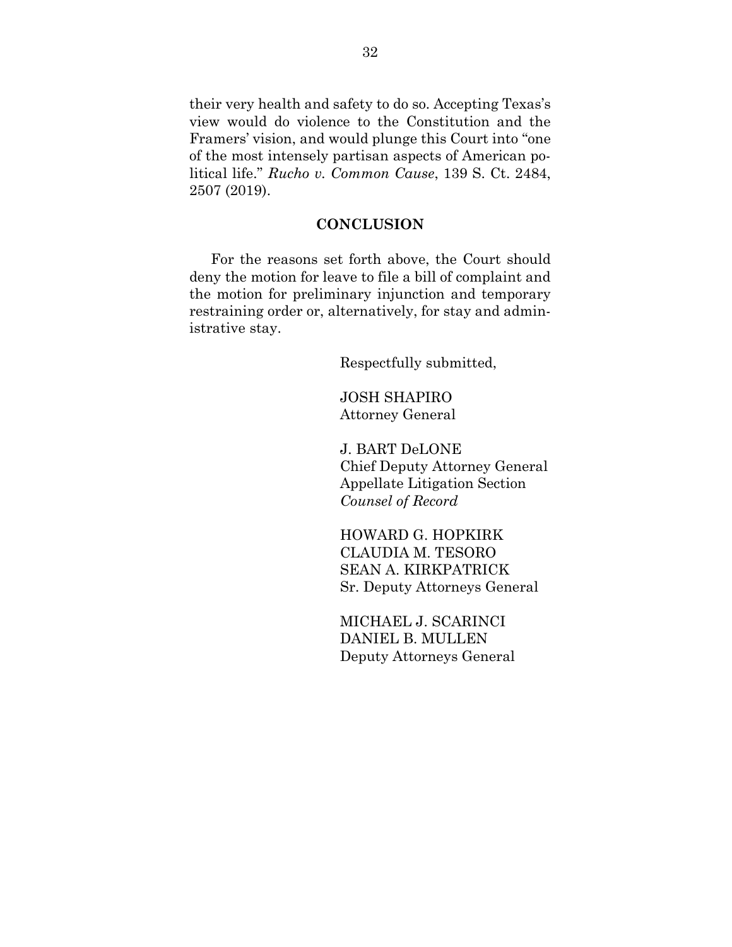their very health and safety to do so. Accepting Texas's view would do violence to the Constitution and the Framers' vision, and would plunge this Court into "one of the most intensely partisan aspects of American political life." *Rucho v. Common Cause*, 139 S. Ct. 2484, 2507 (2019).

#### **CONCLUSION**

<span id="page-41-0"></span>For the reasons set forth above, the Court should deny the motion for leave to file a bill of complaint and the motion for preliminary injunction and temporary restraining order or, alternatively, for stay and administrative stay.

Respectfully submitted,

JOSH SHAPIRO Attorney General

J. BART DeLONE Chief Deputy Attorney General Appellate Litigation Section *Counsel of Record*

HOWARD G. HOPKIRK CLAUDIA M. TESORO SEAN A. KIRKPATRICK Sr. Deputy Attorneys General

MICHAEL J. SCARINCI DANIEL B. MULLEN Deputy Attorneys General